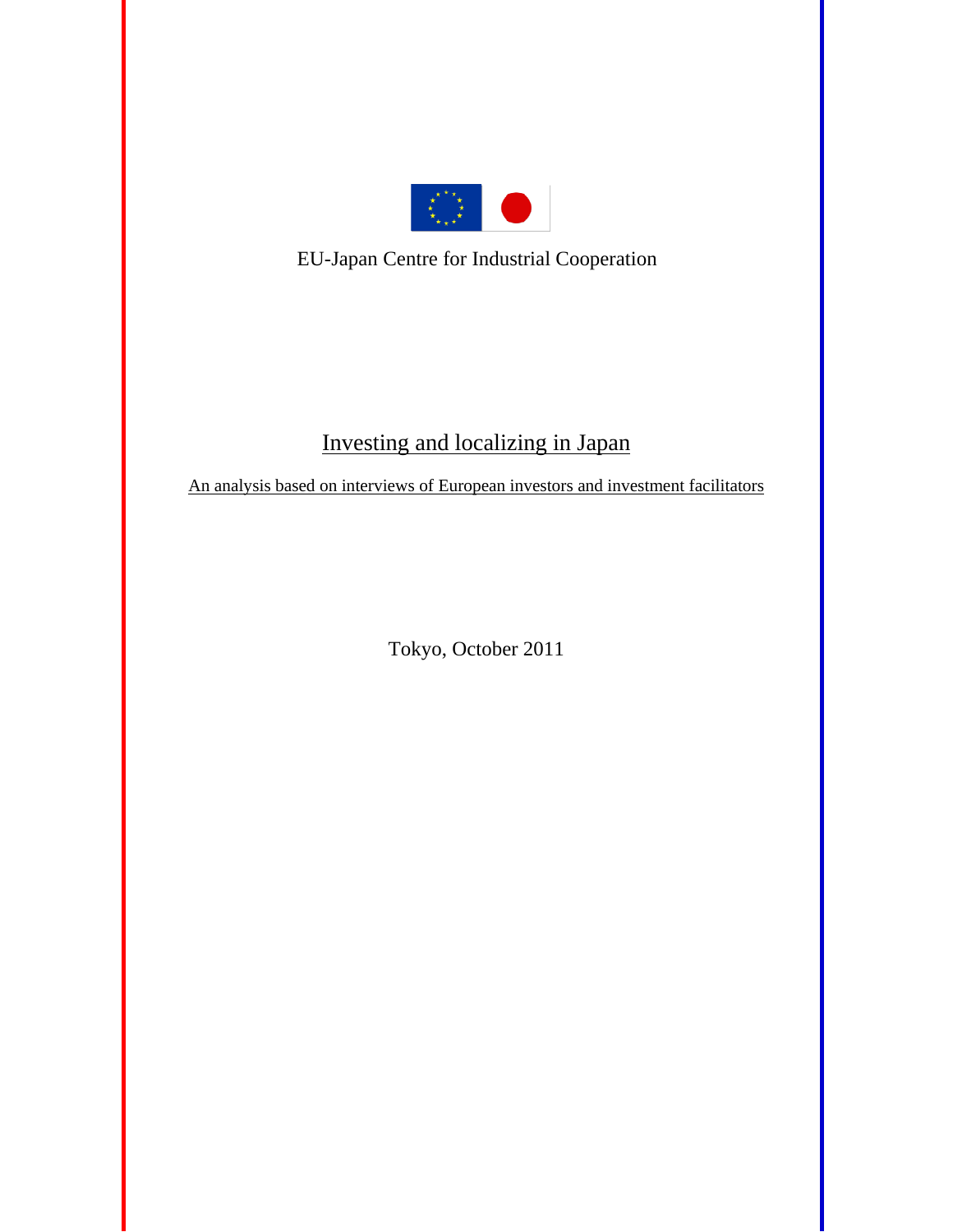

EU-Japan Centre for Industrial Cooperation

# Investing and localizing in Japan

An analysis based on interviews of European investors and investment facilitators

Tokyo, October 2011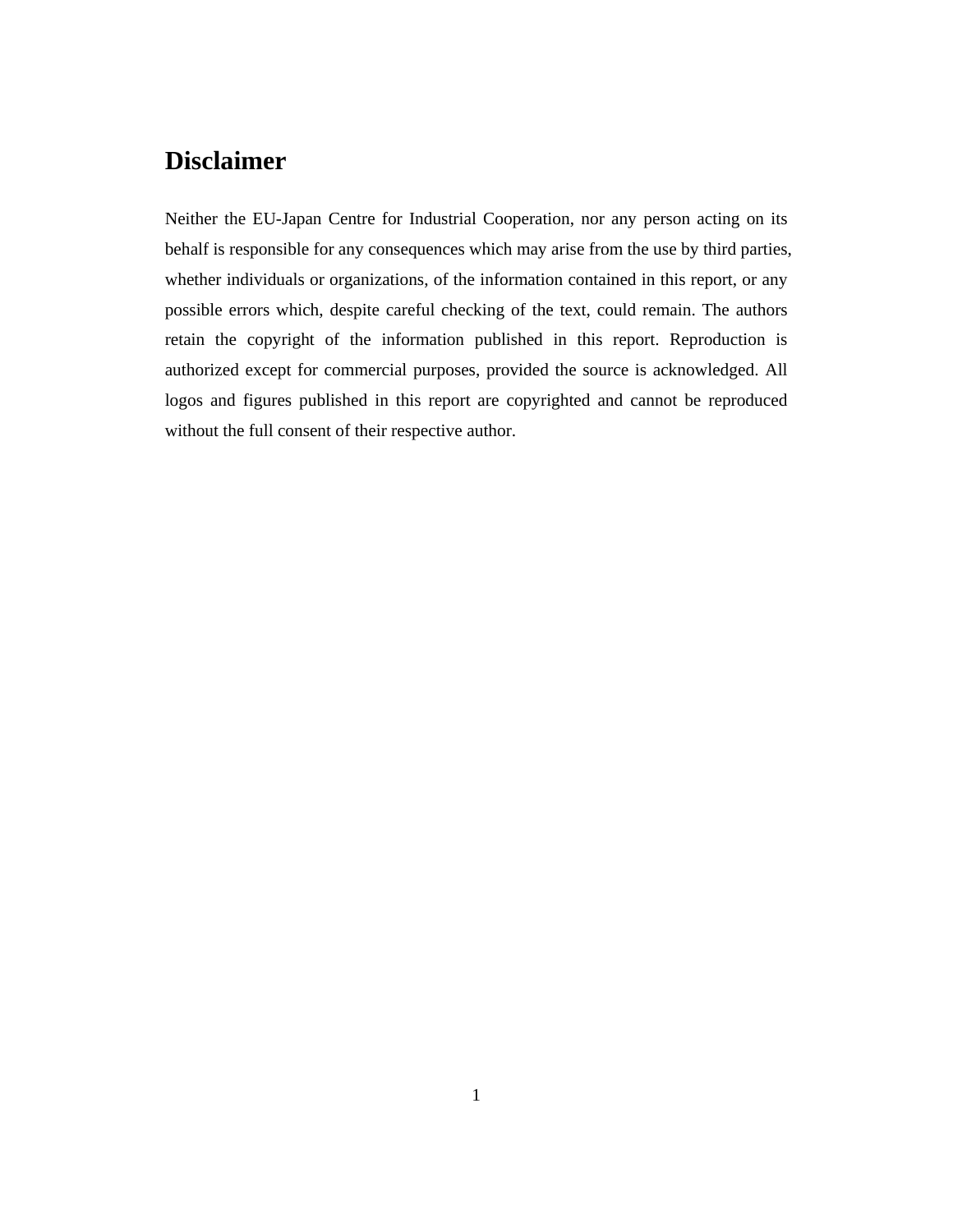# **Disclaimer**

Neither the EU-Japan Centre for Industrial Cooperation, nor any person acting on its behalf is responsible for any consequences which may arise from the use by third parties, whether individuals or organizations, of the information contained in this report, or any possible errors which, despite careful checking of the text, could remain. The authors retain the copyright of the information published in this report. Reproduction is authorized except for commercial purposes, provided the source is acknowledged. All logos and figures published in this report are copyrighted and cannot be reproduced without the full consent of their respective author.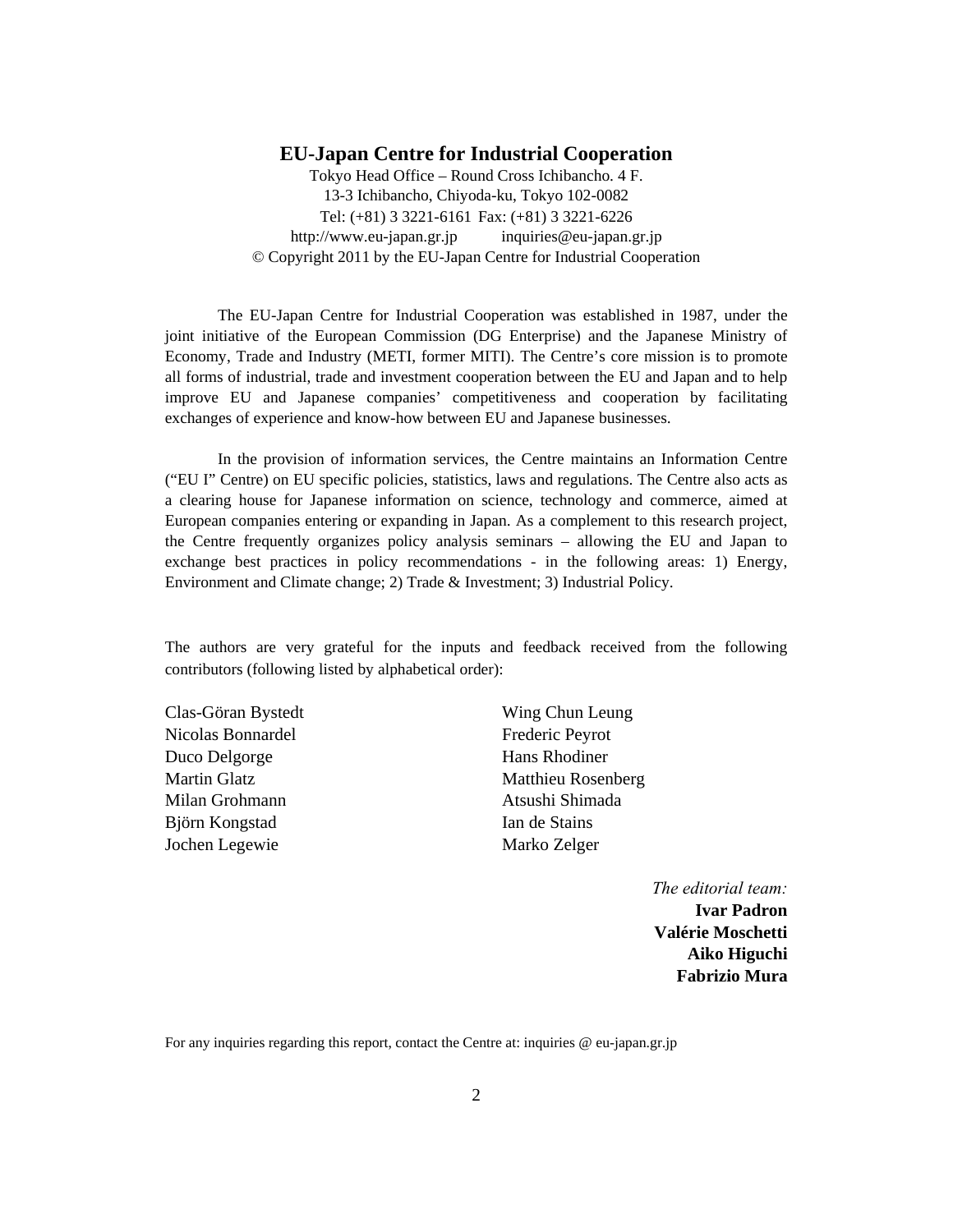#### **EU-Japan Centre for Industrial Cooperation**

Tokyo Head Office – Round Cross Ichibancho. 4 F. 13-3 Ichibancho, Chiyoda-ku, Tokyo 102-0082 Tel: (+81) 3 3221-6161 Fax: (+81) 3 3221-6226 http://www.eu-japan.gr.jp inquiries@eu-japan.gr.jp © Copyright 2011 by the EU-Japan Centre for Industrial Cooperation

The EU-Japan Centre for Industrial Cooperation was established in 1987, under the joint initiative of the European Commission (DG Enterprise) and the Japanese Ministry of Economy, Trade and Industry (METI, former MITI). The Centre's core mission is to promote all forms of industrial, trade and investment cooperation between the EU and Japan and to help improve EU and Japanese companies' competitiveness and cooperation by facilitating exchanges of experience and know-how between EU and Japanese businesses.

In the provision of information services, the Centre maintains an Information Centre ("EU I" Centre) on EU specific policies, statistics, laws and regulations. The Centre also acts as a clearing house for Japanese information on science, technology and commerce, aimed at European companies entering or expanding in Japan. As a complement to this research project, the Centre frequently organizes policy analysis seminars – allowing the EU and Japan to exchange best practices in policy recommendations - in the following areas: 1) Energy, Environment and Climate change; 2) Trade & Investment; 3) Industrial Policy.

The authors are very grateful for the inputs and feedback received from the following contributors (following listed by alphabetical order):

Clas-Göran Bystedt Nicolas Bonnardel Duco Delgorge Martin Glatz Milan Grohmann Björn Kongstad Jochen Legewie

Wing Chun Leung Frederic Peyrot Hans Rhodiner Matthieu Rosenberg Atsushi Shimada Ian de Stains Marko Zelger

> *The editorial team:*  **Ivar Padron Valérie Moschetti Aiko Higuchi Fabrizio Mura**

For any inquiries regarding this report, contact the Centre at: inquiries @ eu-japan.gr.jp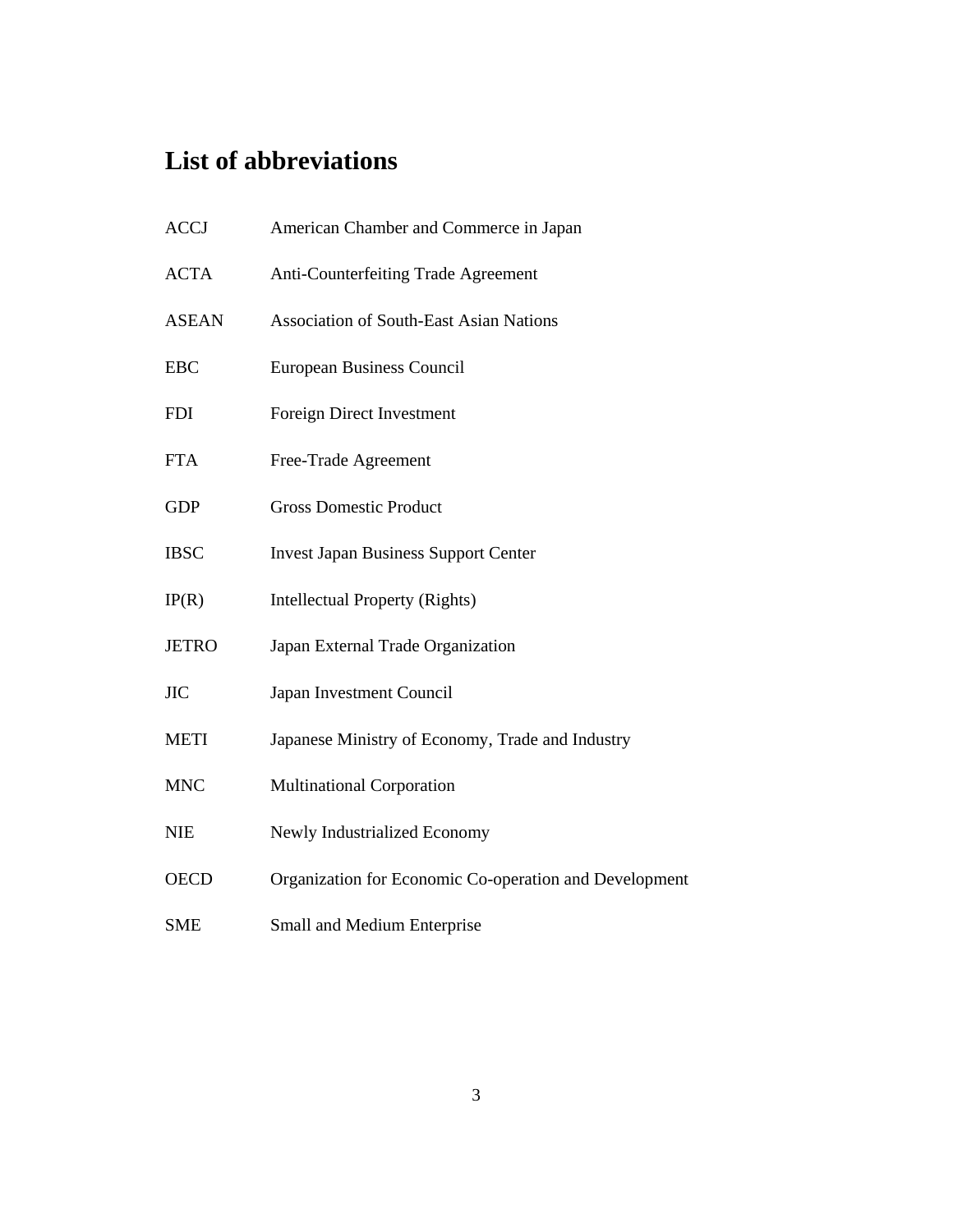# **List of abbreviations**

| <b>ACCJ</b>  | American Chamber and Commerce in Japan                 |
|--------------|--------------------------------------------------------|
| <b>ACTA</b>  | Anti-Counterfeiting Trade Agreement                    |
| <b>ASEAN</b> | <b>Association of South-East Asian Nations</b>         |
| <b>EBC</b>   | <b>European Business Council</b>                       |
| <b>FDI</b>   | Foreign Direct Investment                              |
| <b>FTA</b>   | Free-Trade Agreement                                   |
| <b>GDP</b>   | <b>Gross Domestic Product</b>                          |
| <b>IBSC</b>  | <b>Invest Japan Business Support Center</b>            |
| IP(R)        | <b>Intellectual Property (Rights)</b>                  |
| <b>JETRO</b> | Japan External Trade Organization                      |
| <b>JIC</b>   | Japan Investment Council                               |
| <b>METI</b>  | Japanese Ministry of Economy, Trade and Industry       |
| <b>MNC</b>   | <b>Multinational Corporation</b>                       |
| <b>NIE</b>   | Newly Industrialized Economy                           |
| <b>OECD</b>  | Organization for Economic Co-operation and Development |
| <b>SME</b>   | Small and Medium Enterprise                            |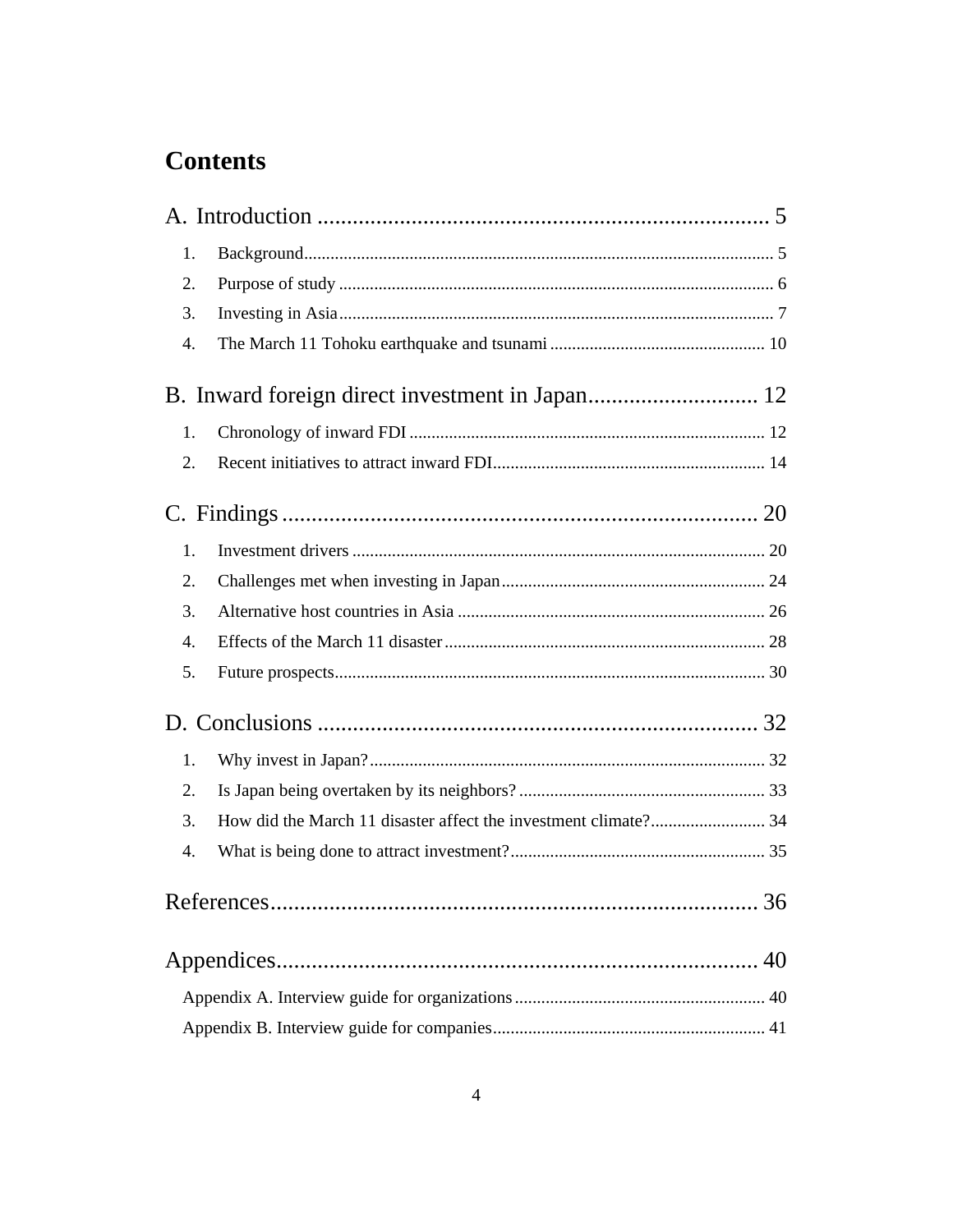# **Contents**

|    | 1. |  |  |  |  |  |
|----|----|--|--|--|--|--|
| 2. |    |  |  |  |  |  |
|    | 3. |  |  |  |  |  |
|    | 4. |  |  |  |  |  |
|    |    |  |  |  |  |  |
|    | 1. |  |  |  |  |  |
|    | 2. |  |  |  |  |  |
|    |    |  |  |  |  |  |
|    | 1. |  |  |  |  |  |
|    | 2. |  |  |  |  |  |
|    | 3. |  |  |  |  |  |
|    | 4. |  |  |  |  |  |
|    | 5. |  |  |  |  |  |
|    |    |  |  |  |  |  |
|    | 1. |  |  |  |  |  |
|    | 2. |  |  |  |  |  |
|    | 3. |  |  |  |  |  |
|    | 4. |  |  |  |  |  |
|    |    |  |  |  |  |  |
|    |    |  |  |  |  |  |
|    |    |  |  |  |  |  |
|    |    |  |  |  |  |  |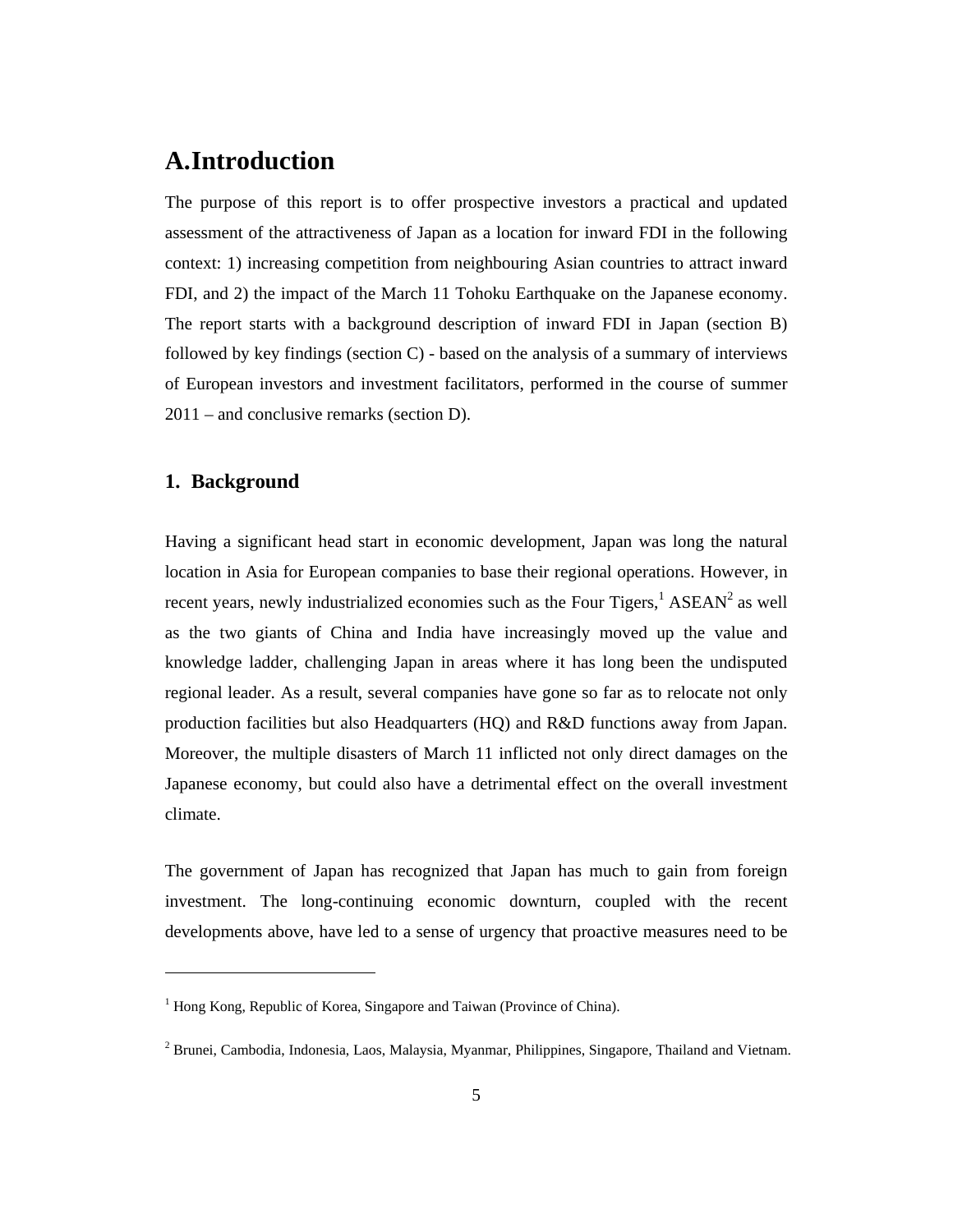# **A.Introduction**

The purpose of this report is to offer prospective investors a practical and updated assessment of the attractiveness of Japan as a location for inward FDI in the following context: 1) increasing competition from neighbouring Asian countries to attract inward FDI, and 2) the impact of the March 11 Tohoku Earthquake on the Japanese economy. The report starts with a background description of inward FDI in Japan (section B) followed by key findings (section C) - based on the analysis of a summary of interviews of European investors and investment facilitators, performed in the course of summer 2011 – and conclusive remarks (section D).

### **1. Background**

 $\overline{a}$ 

Having a significant head start in economic development, Japan was long the natural location in Asia for European companies to base their regional operations. However, in recent years, newly industrialized economies such as the Four Tigers,  $1$  ASEAN<sup>2</sup> as well as the two giants of China and India have increasingly moved up the value and knowledge ladder, challenging Japan in areas where it has long been the undisputed regional leader. As a result, several companies have gone so far as to relocate not only production facilities but also Headquarters (HQ) and R&D functions away from Japan. Moreover, the multiple disasters of March 11 inflicted not only direct damages on the Japanese economy, but could also have a detrimental effect on the overall investment climate.

The government of Japan has recognized that Japan has much to gain from foreign investment. The long-continuing economic downturn, coupled with the recent developments above, have led to a sense of urgency that proactive measures need to be

<sup>&</sup>lt;sup>1</sup> Hong Kong, Republic of Korea, Singapore and Taiwan (Province of China).

<sup>&</sup>lt;sup>2</sup> Brunei, Cambodia, Indonesia, Laos, Malaysia, Myanmar, Philippines, Singapore, Thailand and Vietnam.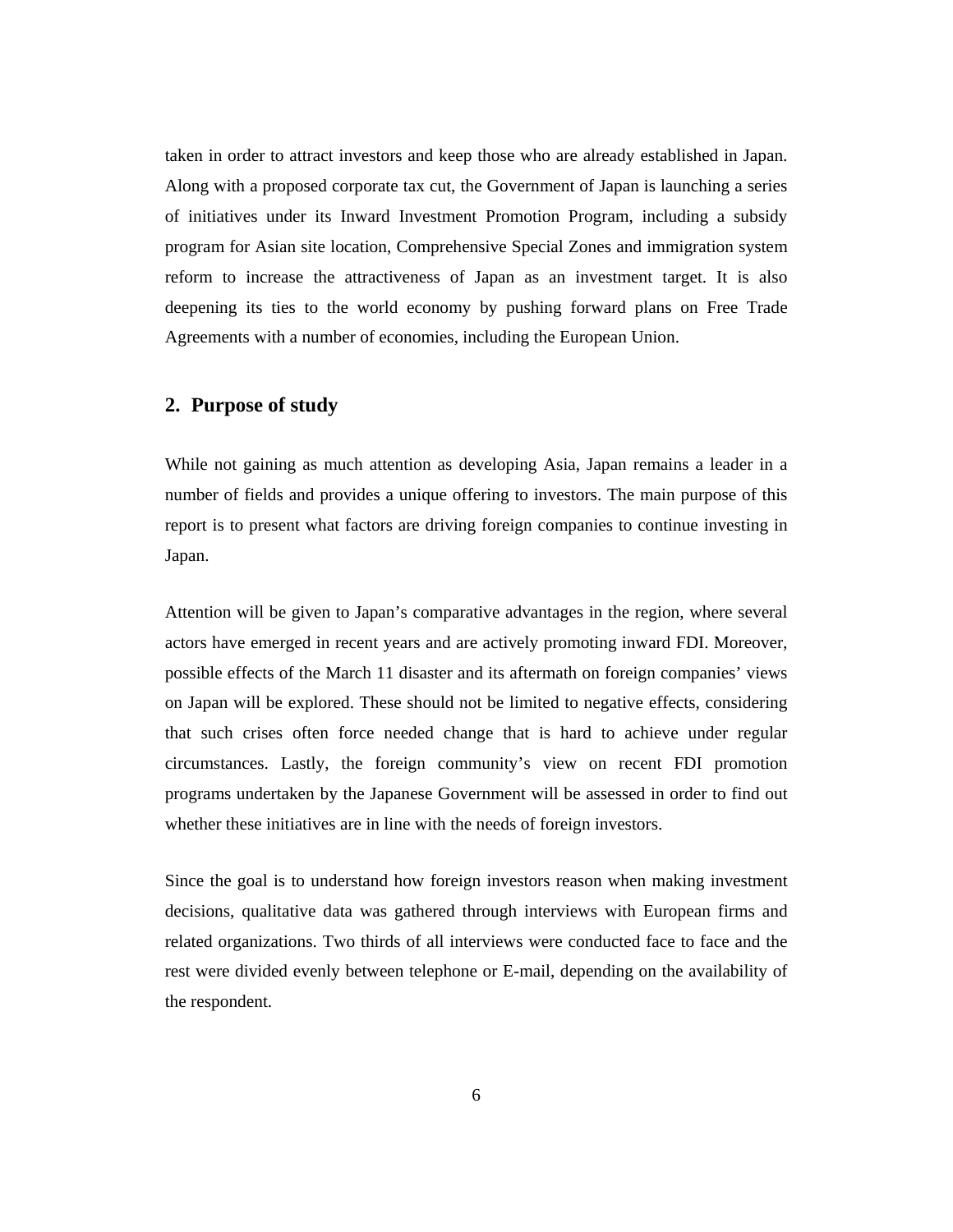taken in order to attract investors and keep those who are already established in Japan. Along with a proposed corporate tax cut, the Government of Japan is launching a series of initiatives under its Inward Investment Promotion Program, including a subsidy program for Asian site location, Comprehensive Special Zones and immigration system reform to increase the attractiveness of Japan as an investment target. It is also deepening its ties to the world economy by pushing forward plans on Free Trade Agreements with a number of economies, including the European Union.

#### **2. Purpose of study**

While not gaining as much attention as developing Asia, Japan remains a leader in a number of fields and provides a unique offering to investors. The main purpose of this report is to present what factors are driving foreign companies to continue investing in Japan.

Attention will be given to Japan's comparative advantages in the region, where several actors have emerged in recent years and are actively promoting inward FDI. Moreover, possible effects of the March 11 disaster and its aftermath on foreign companies' views on Japan will be explored. These should not be limited to negative effects, considering that such crises often force needed change that is hard to achieve under regular circumstances. Lastly, the foreign community's view on recent FDI promotion programs undertaken by the Japanese Government will be assessed in order to find out whether these initiatives are in line with the needs of foreign investors.

Since the goal is to understand how foreign investors reason when making investment decisions, qualitative data was gathered through interviews with European firms and related organizations. Two thirds of all interviews were conducted face to face and the rest were divided evenly between telephone or E-mail, depending on the availability of the respondent.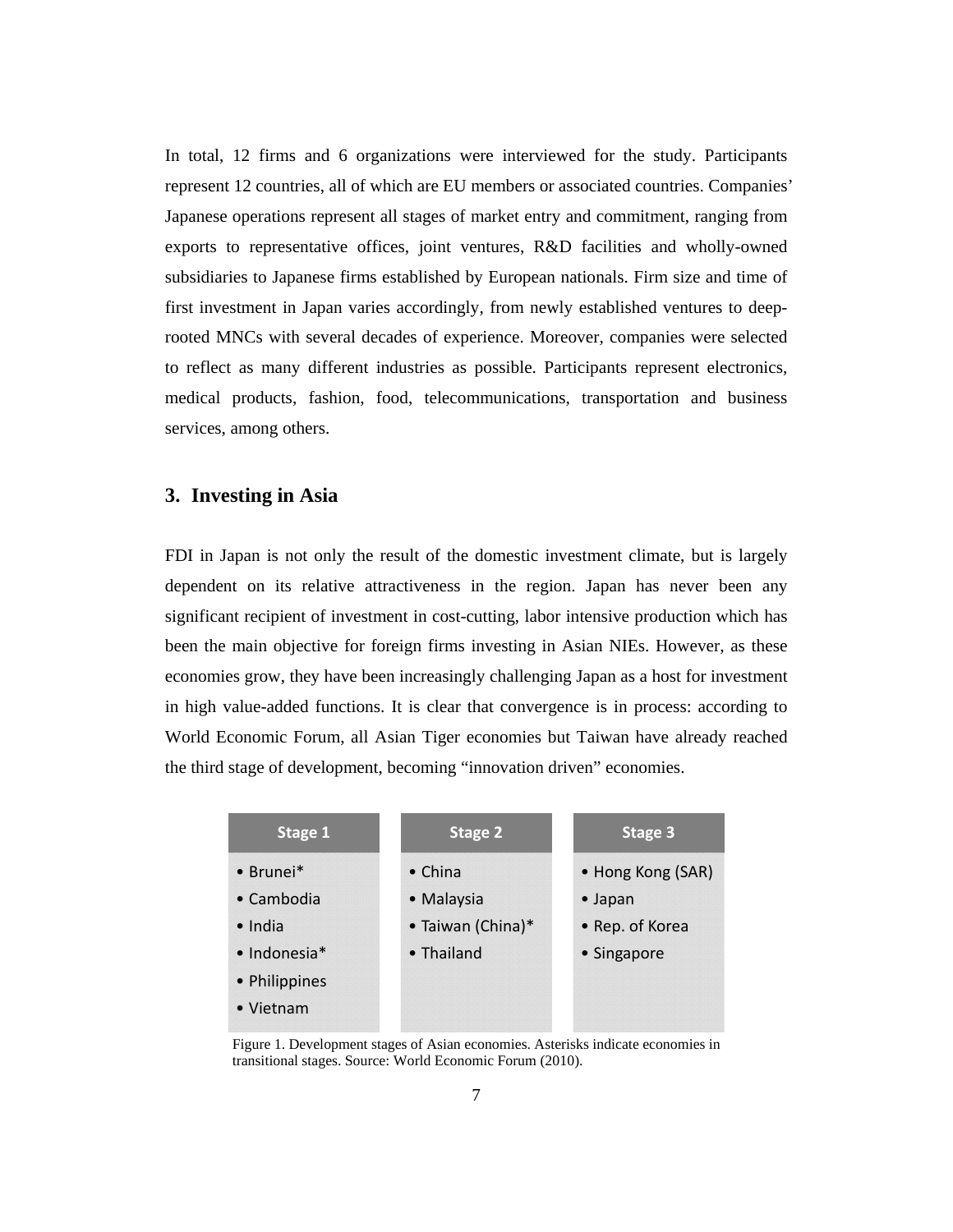In total, 12 firms and 6 organizations were interviewed for the study. Participants represent 12 countries, all of which are EU members or associated countries. Companies' Japanese operations represent all stages of market entry and commitment, ranging from exports to representative offices, joint ventures, R&D facilities and wholly-owned subsidiaries to Japanese firms established by European nationals. Firm size and time of first investment in Japan varies accordingly, from newly established ventures to deeprooted MNCs with several decades of experience. Moreover, companies were selected to reflect as many different industries as possible. Participants represent electronics, medical products, fashion, food, telecommunications, transportation and business services, among others.

### **3. Investing in Asia**

FDI in Japan is not only the result of the domestic investment climate, but is largely dependent on its relative attractiveness in the region. Japan has never been any significant recipient of investment in cost-cutting, labor intensive production which has been the main objective for foreign firms investing in Asian NIEs. However, as these economies grow, they have been increasingly challenging Japan as a host for investment in high value-added functions. It is clear that convergence is in process: according to World Economic Forum, all Asian Tiger economies but Taiwan have already reached the third stage of development, becoming "innovation driven" economies.

| Stage 2           | <b>Stage 3</b>    |
|-------------------|-------------------|
| $\bullet$ China   | • Hong Kong (SAR) |
| • Malaysia        | $\bullet$ Japan   |
| • Taiwan (China)* | • Rep. of Korea   |
| • Thailand        | • Singapore       |
|                   |                   |
|                   |                   |
|                   |                   |

Figure 1. Development stages of Asian economies. Asterisks indicate economies in transitional stages. Source: World Economic Forum (2010).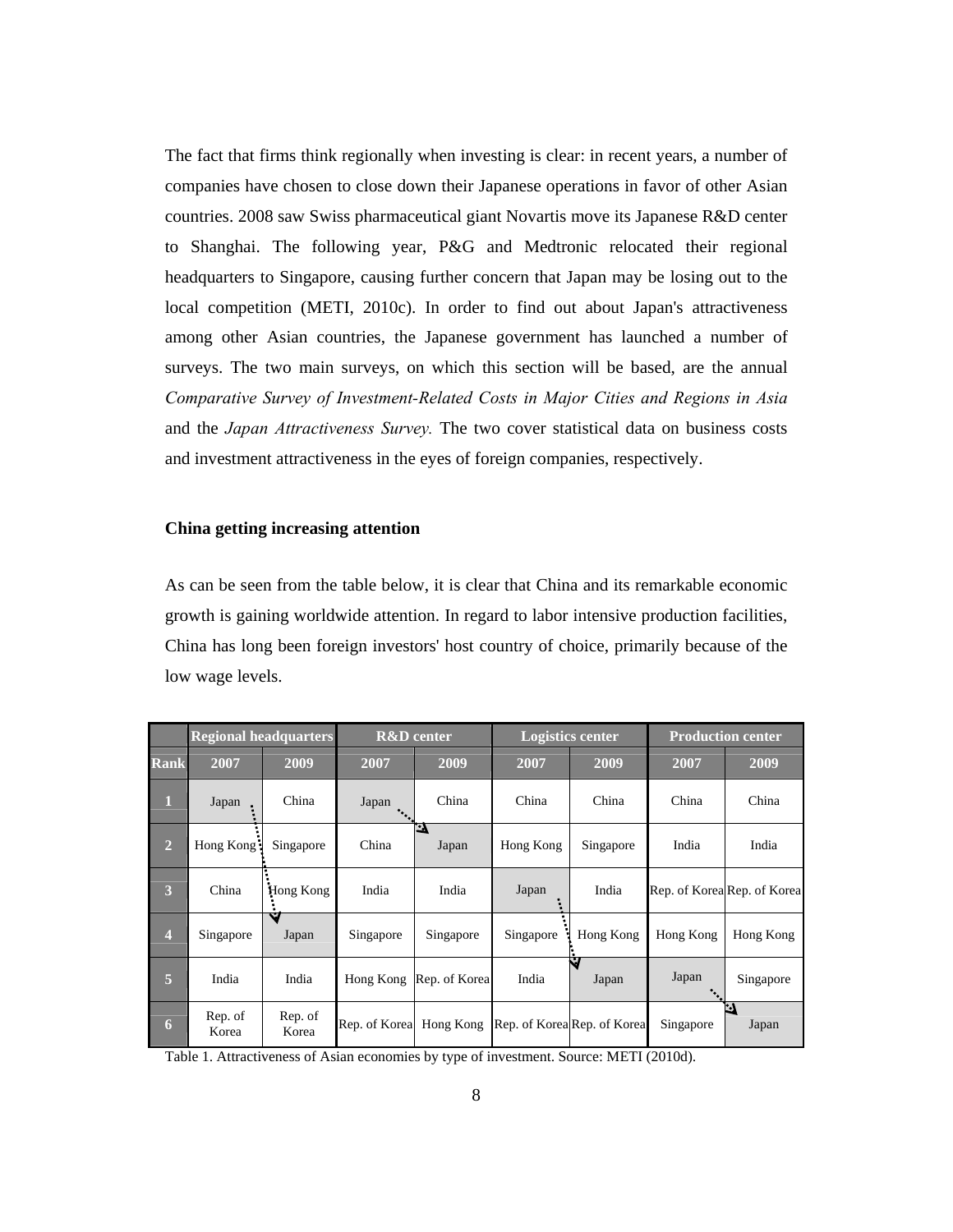The fact that firms think regionally when investing is clear: in recent years, a number of companies have chosen to close down their Japanese operations in favor of other Asian countries. 2008 saw Swiss pharmaceutical giant Novartis move its Japanese R&D center to Shanghai. The following year, P&G and Medtronic relocated their regional headquarters to Singapore, causing further concern that Japan may be losing out to the local competition (METI, 2010c). In order to find out about Japan's attractiveness among other Asian countries, the Japanese government has launched a number of surveys. The two main surveys, on which this section will be based, are the annual *Comparative Survey of Investment-Related Costs in Major Cities and Regions in Asia* and the *Japan Attractiveness Survey.* The two cover statistical data on business costs and investment attractiveness in the eyes of foreign companies, respectively.

#### **China getting increasing attention**

As can be seen from the table below, it is clear that China and its remarkable economic growth is gaining worldwide attention. In regard to labor intensive production facilities, China has long been foreign investors' host country of choice, primarily because of the low wage levels.

|                         | <b>Regional headquarters</b> |                  | <b>R&amp;D</b> center   |                    | <b>Logistics center</b> |                             | <b>Production center</b> |                             |
|-------------------------|------------------------------|------------------|-------------------------|--------------------|-------------------------|-----------------------------|--------------------------|-----------------------------|
| <b>Rank</b>             | 2007                         | 2009             | 2007                    | 2009               | 2007                    | 2009                        | 2007                     | 2009                        |
| $\mathbf{1}$            | Japan                        | China            | Japan                   | China              | China                   | China                       | China                    | China                       |
| $\overline{2}$          | Hong Kong:                   | Singapore        | China                   | <u>ين</u><br>Japan | Hong Kong               | Singapore                   | India                    | India                       |
| 3                       | China                        | Hong Kong        | India                   | India              | Japan                   | India                       |                          | Rep. of Korea Rep. of Korea |
| $\overline{\mathbf{4}}$ | Singapore                    | u<br>Japan       | Singapore               | Singapore          | Singapore               | Hong Kong                   | Hong Kong                | Hong Kong                   |
| 5                       | India                        | India            | Hong Kong               | Rep. of Korea      | India                   | Ć.<br>Japan                 | Japan                    | Singapore                   |
| 6                       | Rep. of<br>Korea             | Rep. of<br>Korea | Rep. of Korea Hong Kong |                    |                         | Rep. of Korea Rep. of Korea | Singapore                | л<br>Japan                  |

Table 1. Attractiveness of Asian economies by type of investment. Source: METI (2010d).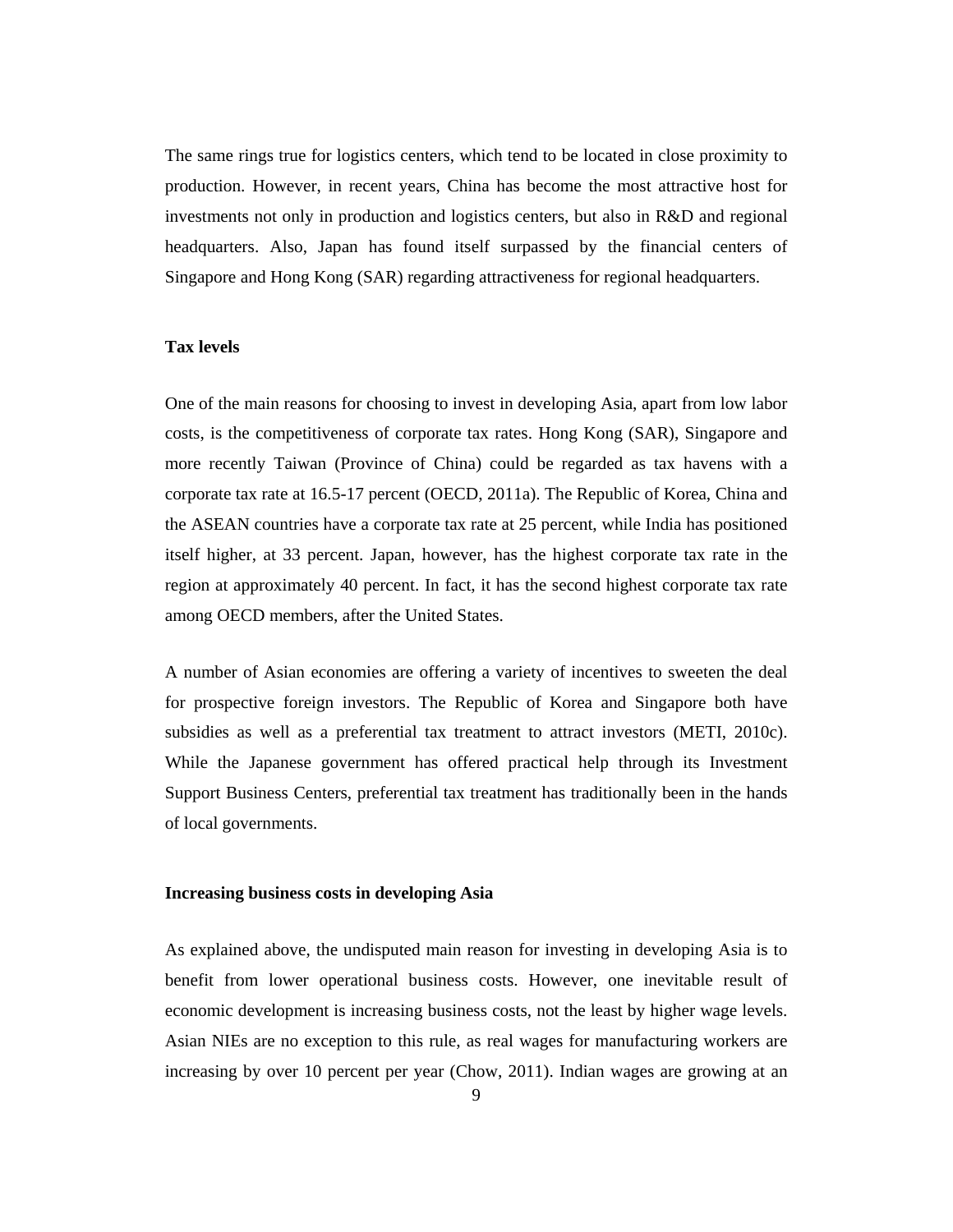The same rings true for logistics centers, which tend to be located in close proximity to production. However, in recent years, China has become the most attractive host for investments not only in production and logistics centers, but also in R&D and regional headquarters. Also, Japan has found itself surpassed by the financial centers of Singapore and Hong Kong (SAR) regarding attractiveness for regional headquarters.

#### **Tax levels**

One of the main reasons for choosing to invest in developing Asia, apart from low labor costs, is the competitiveness of corporate tax rates. Hong Kong (SAR), Singapore and more recently Taiwan (Province of China) could be regarded as tax havens with a corporate tax rate at 16.5-17 percent (OECD, 2011a). The Republic of Korea, China and the ASEAN countries have a corporate tax rate at 25 percent, while India has positioned itself higher, at 33 percent. Japan, however, has the highest corporate tax rate in the region at approximately 40 percent. In fact, it has the second highest corporate tax rate among OECD members, after the United States.

A number of Asian economies are offering a variety of incentives to sweeten the deal for prospective foreign investors. The Republic of Korea and Singapore both have subsidies as well as a preferential tax treatment to attract investors (METI, 2010c). While the Japanese government has offered practical help through its Investment Support Business Centers, preferential tax treatment has traditionally been in the hands of local governments.

#### **Increasing business costs in developing Asia**

As explained above, the undisputed main reason for investing in developing Asia is to benefit from lower operational business costs. However, one inevitable result of economic development is increasing business costs, not the least by higher wage levels. Asian NIEs are no exception to this rule, as real wages for manufacturing workers are increasing by over 10 percent per year (Chow, 2011). Indian wages are growing at an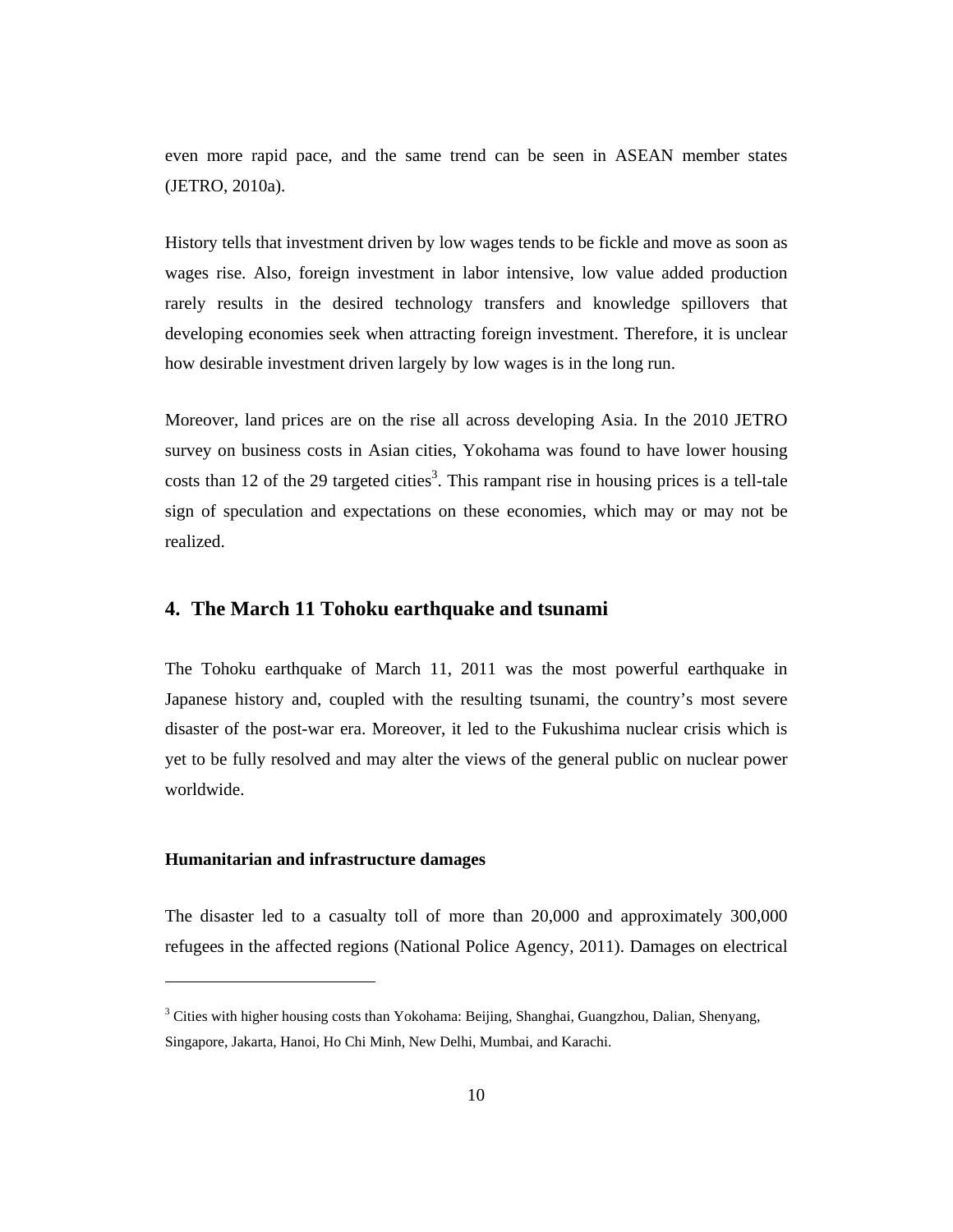even more rapid pace, and the same trend can be seen in ASEAN member states (JETRO, 2010a).

History tells that investment driven by low wages tends to be fickle and move as soon as wages rise. Also, foreign investment in labor intensive, low value added production rarely results in the desired technology transfers and knowledge spillovers that developing economies seek when attracting foreign investment. Therefore, it is unclear how desirable investment driven largely by low wages is in the long run.

Moreover, land prices are on the rise all across developing Asia. In the 2010 JETRO survey on business costs in Asian cities, Yokohama was found to have lower housing costs than 12 of the 29 targeted cities<sup>3</sup>. This rampant rise in housing prices is a tell-tale sign of speculation and expectations on these economies, which may or may not be realized.

# **4. The March 11 Tohoku earthquake and tsunami**

The Tohoku earthquake of March 11, 2011 was the most powerful earthquake in Japanese history and, coupled with the resulting tsunami, the country's most severe disaster of the post-war era. Moreover, it led to the Fukushima nuclear crisis which is yet to be fully resolved and may alter the views of the general public on nuclear power worldwide.

#### **Humanitarian and infrastructure damages**

 $\overline{a}$ 

The disaster led to a casualty toll of more than 20,000 and approximately 300,000 refugees in the affected regions (National Police Agency, 2011). Damages on electrical

<sup>&</sup>lt;sup>3</sup> Cities with higher housing costs than Yokohama: Beijing, Shanghai, Guangzhou, Dalian, Shenyang, Singapore, Jakarta, Hanoi, Ho Chi Minh, New Delhi, Mumbai, and Karachi.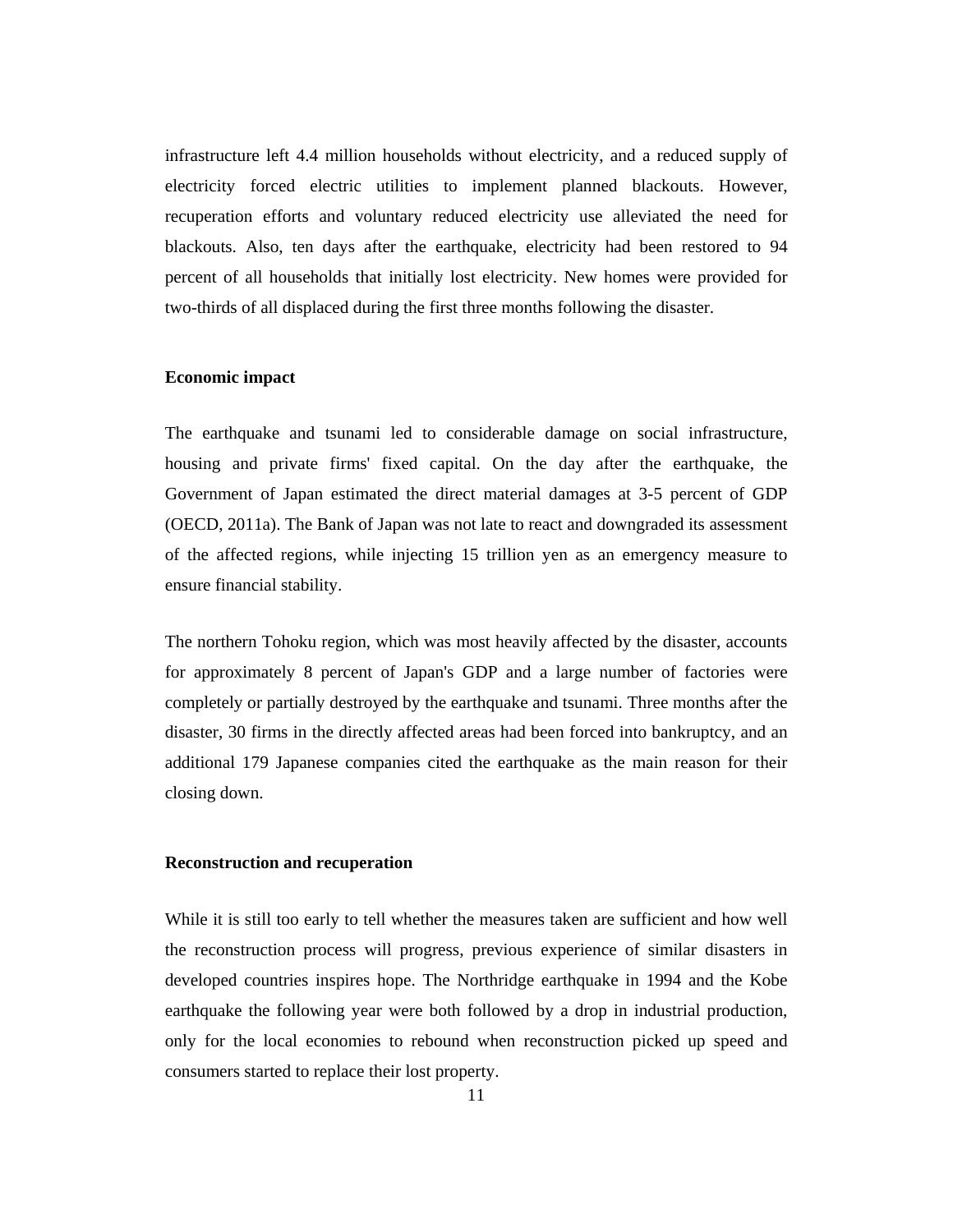infrastructure left 4.4 million households without electricity, and a reduced supply of electricity forced electric utilities to implement planned blackouts. However, recuperation efforts and voluntary reduced electricity use alleviated the need for blackouts. Also, ten days after the earthquake, electricity had been restored to 94 percent of all households that initially lost electricity. New homes were provided for two-thirds of all displaced during the first three months following the disaster.

#### **Economic impact**

The earthquake and tsunami led to considerable damage on social infrastructure, housing and private firms' fixed capital. On the day after the earthquake, the Government of Japan estimated the direct material damages at 3-5 percent of GDP (OECD, 2011a). The Bank of Japan was not late to react and downgraded its assessment of the affected regions, while injecting 15 trillion yen as an emergency measure to ensure financial stability.

The northern Tohoku region, which was most heavily affected by the disaster, accounts for approximately 8 percent of Japan's GDP and a large number of factories were completely or partially destroyed by the earthquake and tsunami. Three months after the disaster, 30 firms in the directly affected areas had been forced into bankruptcy, and an additional 179 Japanese companies cited the earthquake as the main reason for their closing down.

#### **Reconstruction and recuperation**

While it is still too early to tell whether the measures taken are sufficient and how well the reconstruction process will progress, previous experience of similar disasters in developed countries inspires hope. The Northridge earthquake in 1994 and the Kobe earthquake the following year were both followed by a drop in industrial production, only for the local economies to rebound when reconstruction picked up speed and consumers started to replace their lost property.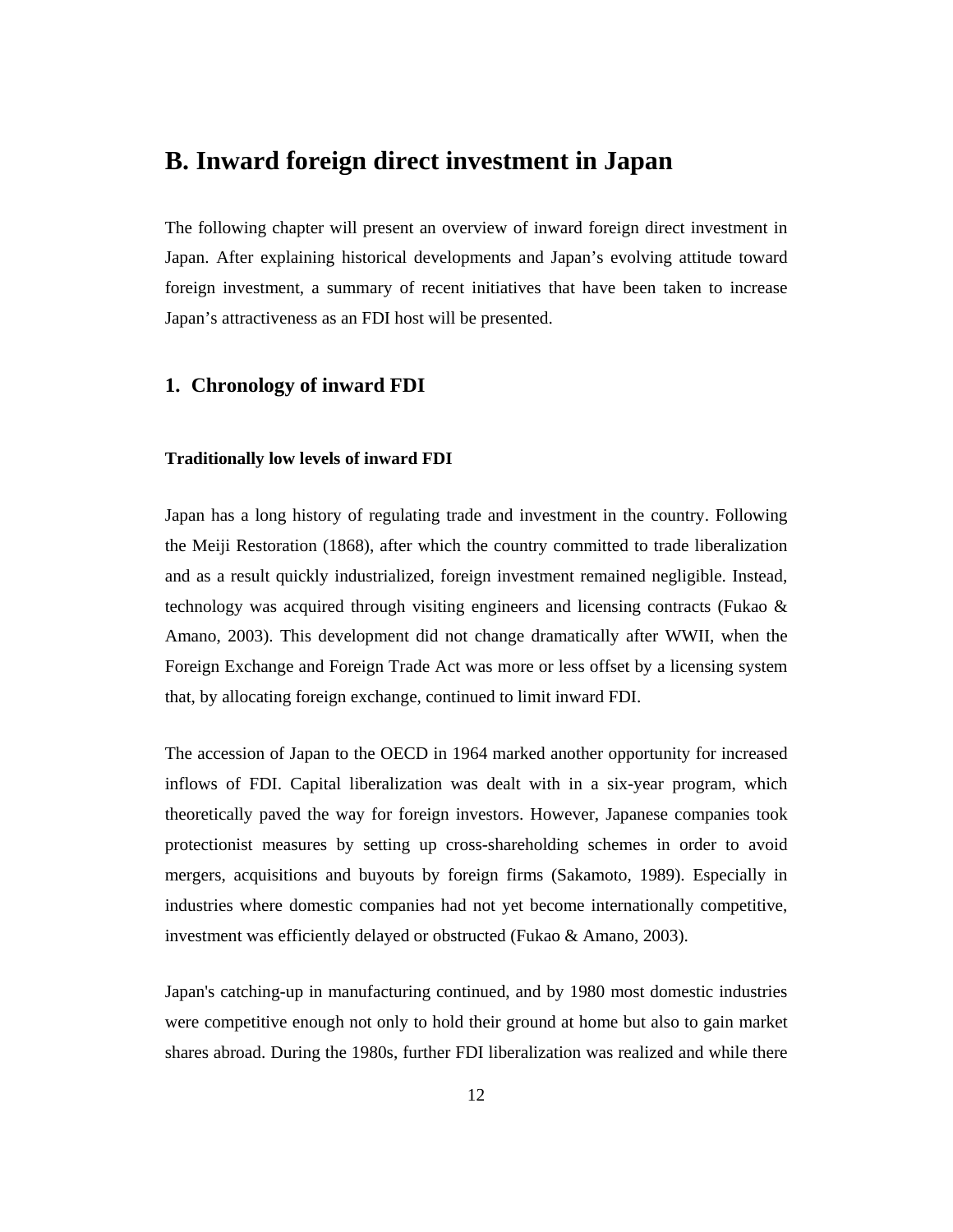# **B. Inward foreign direct investment in Japan**

The following chapter will present an overview of inward foreign direct investment in Japan. After explaining historical developments and Japan's evolving attitude toward foreign investment, a summary of recent initiatives that have been taken to increase Japan's attractiveness as an FDI host will be presented.

## **1. Chronology of inward FDI**

#### **Traditionally low levels of inward FDI**

Japan has a long history of regulating trade and investment in the country. Following the Meiji Restoration (1868), after which the country committed to trade liberalization and as a result quickly industrialized, foreign investment remained negligible. Instead, technology was acquired through visiting engineers and licensing contracts (Fukao & Amano, 2003). This development did not change dramatically after WWII, when the Foreign Exchange and Foreign Trade Act was more or less offset by a licensing system that, by allocating foreign exchange, continued to limit inward FDI.

The accession of Japan to the OECD in 1964 marked another opportunity for increased inflows of FDI. Capital liberalization was dealt with in a six-year program, which theoretically paved the way for foreign investors. However, Japanese companies took protectionist measures by setting up cross-shareholding schemes in order to avoid mergers, acquisitions and buyouts by foreign firms (Sakamoto, 1989). Especially in industries where domestic companies had not yet become internationally competitive, investment was efficiently delayed or obstructed (Fukao & Amano, 2003).

Japan's catching-up in manufacturing continued, and by 1980 most domestic industries were competitive enough not only to hold their ground at home but also to gain market shares abroad. During the 1980s, further FDI liberalization was realized and while there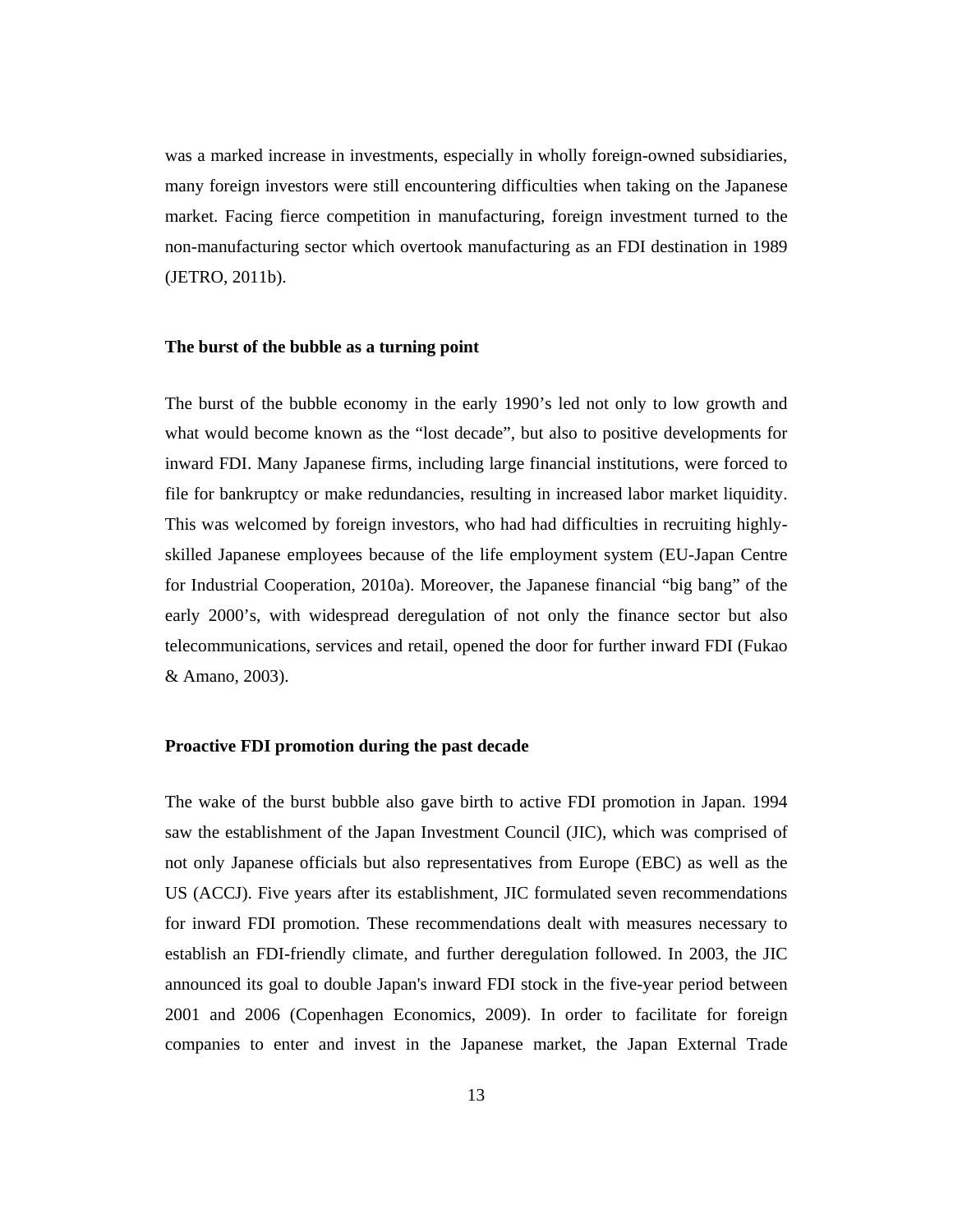was a marked increase in investments, especially in wholly foreign-owned subsidiaries, many foreign investors were still encountering difficulties when taking on the Japanese market. Facing fierce competition in manufacturing, foreign investment turned to the non-manufacturing sector which overtook manufacturing as an FDI destination in 1989 (JETRO, 2011b).

#### **The burst of the bubble as a turning point**

The burst of the bubble economy in the early 1990's led not only to low growth and what would become known as the "lost decade", but also to positive developments for inward FDI. Many Japanese firms, including large financial institutions, were forced to file for bankruptcy or make redundancies, resulting in increased labor market liquidity. This was welcomed by foreign investors, who had had difficulties in recruiting highlyskilled Japanese employees because of the life employment system (EU-Japan Centre for Industrial Cooperation, 2010a). Moreover, the Japanese financial "big bang" of the early 2000's, with widespread deregulation of not only the finance sector but also telecommunications, services and retail, opened the door for further inward FDI (Fukao & Amano, 2003).

#### **Proactive FDI promotion during the past decade**

The wake of the burst bubble also gave birth to active FDI promotion in Japan. 1994 saw the establishment of the Japan Investment Council (JIC), which was comprised of not only Japanese officials but also representatives from Europe (EBC) as well as the US (ACCJ). Five years after its establishment, JIC formulated seven recommendations for inward FDI promotion. These recommendations dealt with measures necessary to establish an FDI-friendly climate, and further deregulation followed. In 2003, the JIC announced its goal to double Japan's inward FDI stock in the five-year period between 2001 and 2006 (Copenhagen Economics, 2009). In order to facilitate for foreign companies to enter and invest in the Japanese market, the Japan External Trade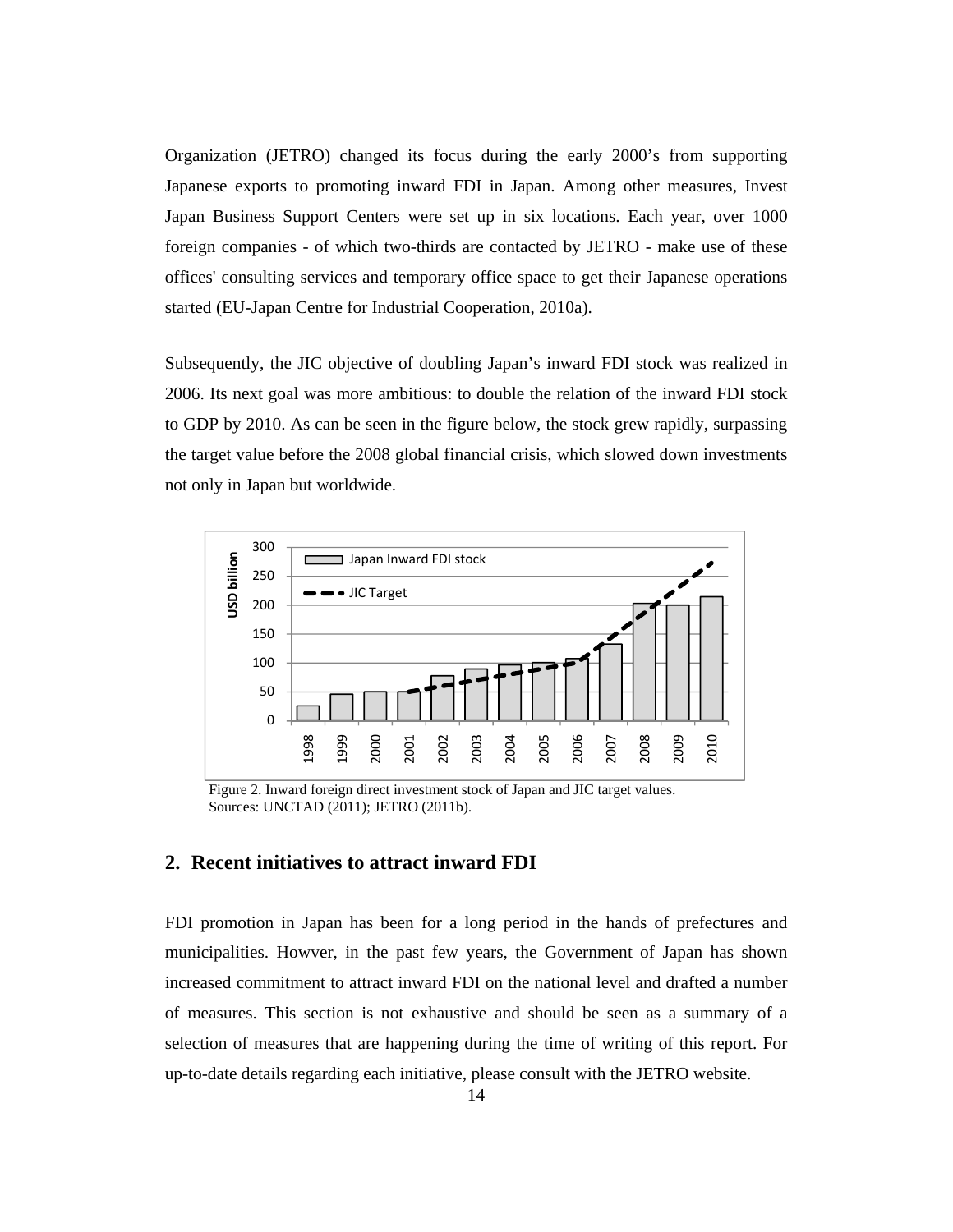Organization (JETRO) changed its focus during the early 2000's from supporting Japanese exports to promoting inward FDI in Japan. Among other measures, Invest Japan Business Support Centers were set up in six locations. Each year, over 1000 foreign companies - of which two-thirds are contacted by JETRO - make use of these offices' consulting services and temporary office space to get their Japanese operations started (EU-Japan Centre for Industrial Cooperation, 2010a).

Subsequently, the JIC objective of doubling Japan's inward FDI stock was realized in 2006. Its next goal was more ambitious: to double the relation of the inward FDI stock to GDP by 2010. As can be seen in the figure below, the stock grew rapidly, surpassing the target value before the 2008 global financial crisis, which slowed down investments not only in Japan but worldwide.



Figure 2. Inward foreign direct investment stock of Japan and JIC target values. Sources: UNCTAD (2011); JETRO (2011b).

#### **2. Recent initiatives to attract inward FDI**

FDI promotion in Japan has been for a long period in the hands of prefectures and municipalities. Howver, in the past few years, the Government of Japan has shown increased commitment to attract inward FDI on the national level and drafted a number of measures. This section is not exhaustive and should be seen as a summary of a selection of measures that are happening during the time of writing of this report. For up-to-date details regarding each initiative, please consult with the JETRO website.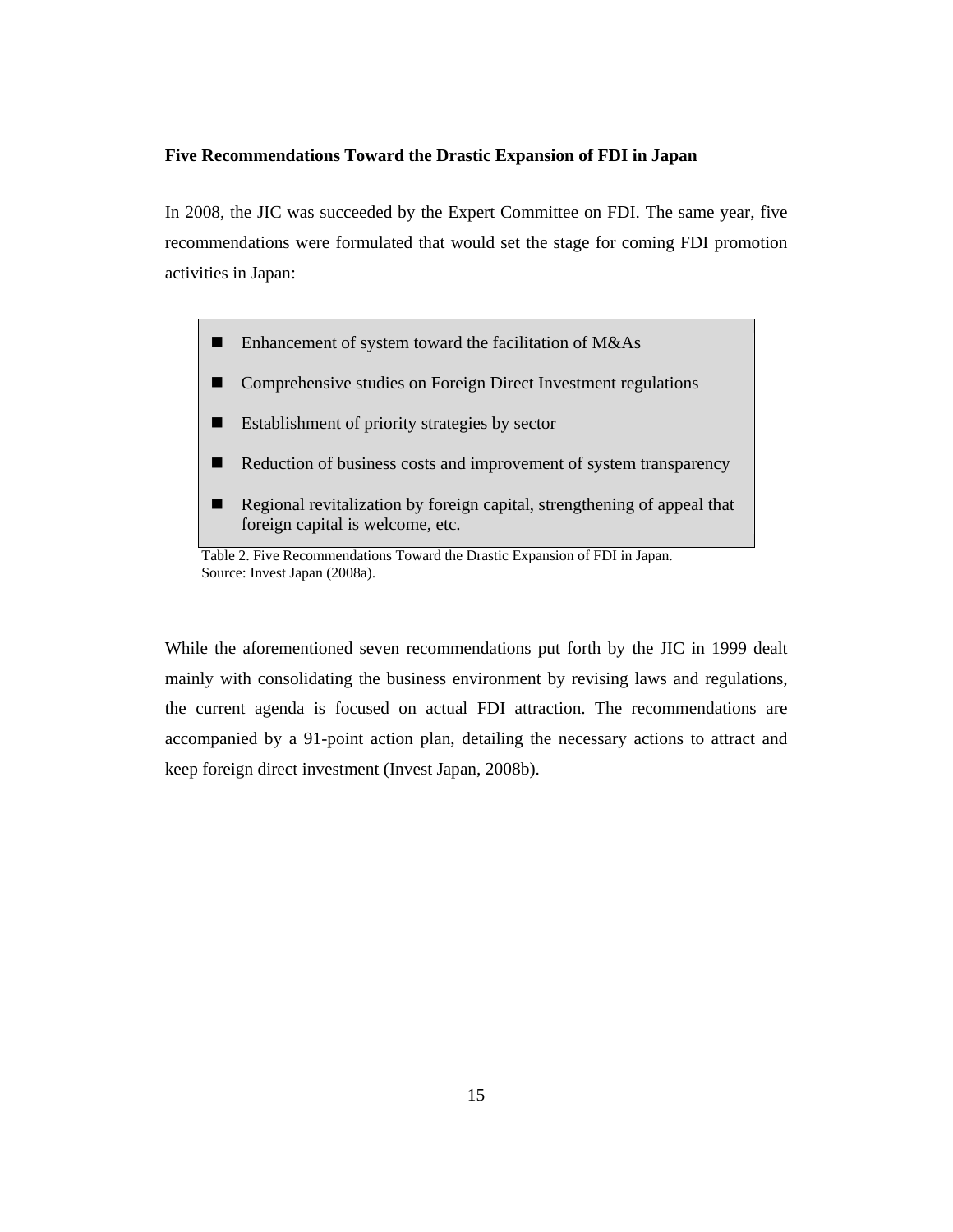#### **Five Recommendations Toward the Drastic Expansion of FDI in Japan**

In 2008, the JIC was succeeded by the Expert Committee on FDI. The same year, five recommendations were formulated that would set the stage for coming FDI promotion activities in Japan:

- Enhancement of system toward the facilitation of M&As
- Comprehensive studies on Foreign Direct Investment regulations
- Establishment of priority strategies by sector
- Reduction of business costs and improvement of system transparency
- Regional revitalization by foreign capital, strengthening of appeal that foreign capital is welcome, etc.

Table 2. Five Recommendations Toward the Drastic Expansion of FDI in Japan. Source: Invest Japan (2008a).

While the aforementioned seven recommendations put forth by the JIC in 1999 dealt mainly with consolidating the business environment by revising laws and regulations, the current agenda is focused on actual FDI attraction. The recommendations are accompanied by a 91-point action plan, detailing the necessary actions to attract and keep foreign direct investment (Invest Japan, 2008b).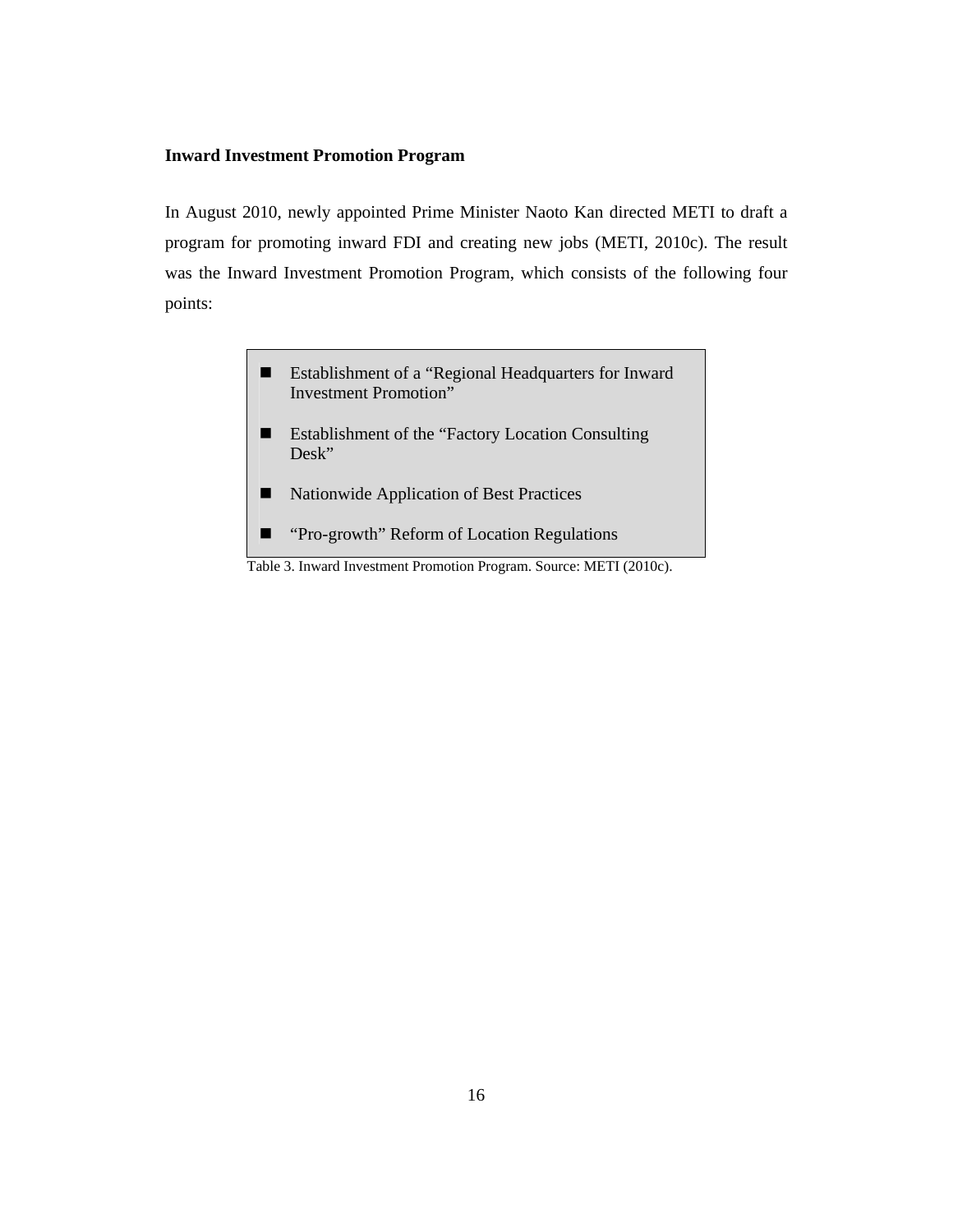#### **Inward Investment Promotion Program**

In August 2010, newly appointed Prime Minister Naoto Kan directed METI to draft a program for promoting inward FDI and creating new jobs (METI, 2010c). The result was the Inward Investment Promotion Program, which consists of the following four points:

- Establishment of a "Regional Headquarters for Inward Investment Promotion"
- **Establishment of the "Factory Location Consulting"** Desk"
- Nationwide Application of Best Practices
- $\blacksquare$  "Pro-growth" Reform of Location Regulations

Table 3. Inward Investment Promotion Program. Source: METI (2010c).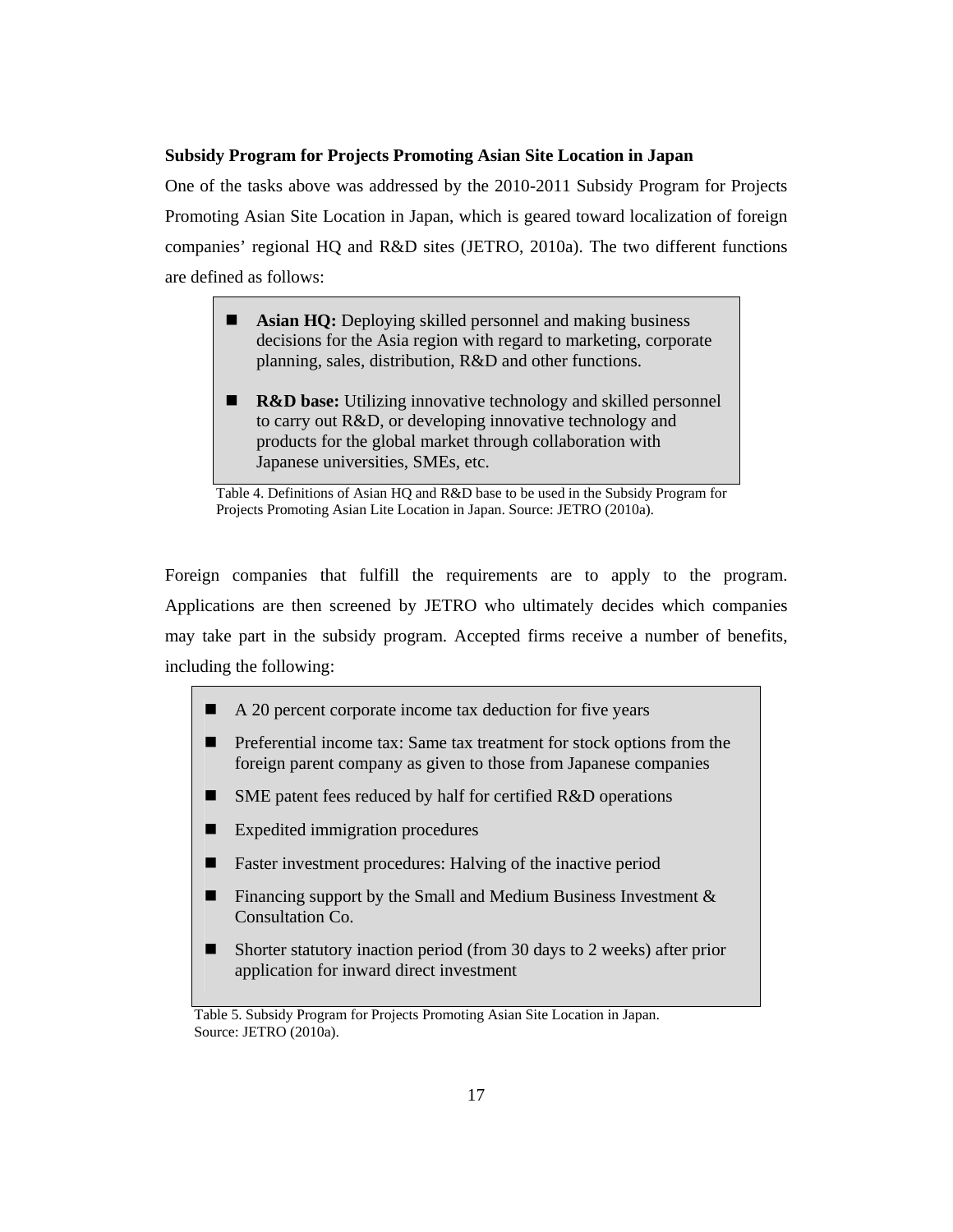#### **Subsidy Program for Projects Promoting Asian Site Location in Japan**

One of the tasks above was addressed by the 2010-2011 Subsidy Program for Projects Promoting Asian Site Location in Japan, which is geared toward localization of foreign companies' regional HQ and R&D sites (JETRO, 2010a). The two different functions are defined as follows:

- **Asian HQ:** Deploying skilled personnel and making business decisions for the Asia region with regard to marketing, corporate planning, sales, distribution, R&D and other functions.
- **R&D base:** Utilizing innovative technology and skilled personnel to carry out R&D, or developing innovative technology and products for the global market through collaboration with Japanese universities, SMEs, etc.

Table 4. Definitions of Asian HQ and R&D base to be used in the Subsidy Program for Projects Promoting Asian Lite Location in Japan. Source: JETRO (2010a).

Foreign companies that fulfill the requirements are to apply to the program. Applications are then screened by JETRO who ultimately decides which companies may take part in the subsidy program. Accepted firms receive a number of benefits, including the following:

- A 20 percent corporate income tax deduction for five years
- **Preferential income tax: Same tax treatment for stock options from the** foreign parent company as given to those from Japanese companies
- SME patent fees reduced by half for certified R&D operations
- Expedited immigration procedures
- **Faster investment procedures: Halving of the inactive period**
- **Financing support by the Small and Medium Business Investment**  $\&$ Consultation Co.
- Shorter statutory inaction period (from 30 days to 2 weeks) after prior application for inward direct investment

Table 5. Subsidy Program for Projects Promoting Asian Site Location in Japan. Source: JETRO (2010a).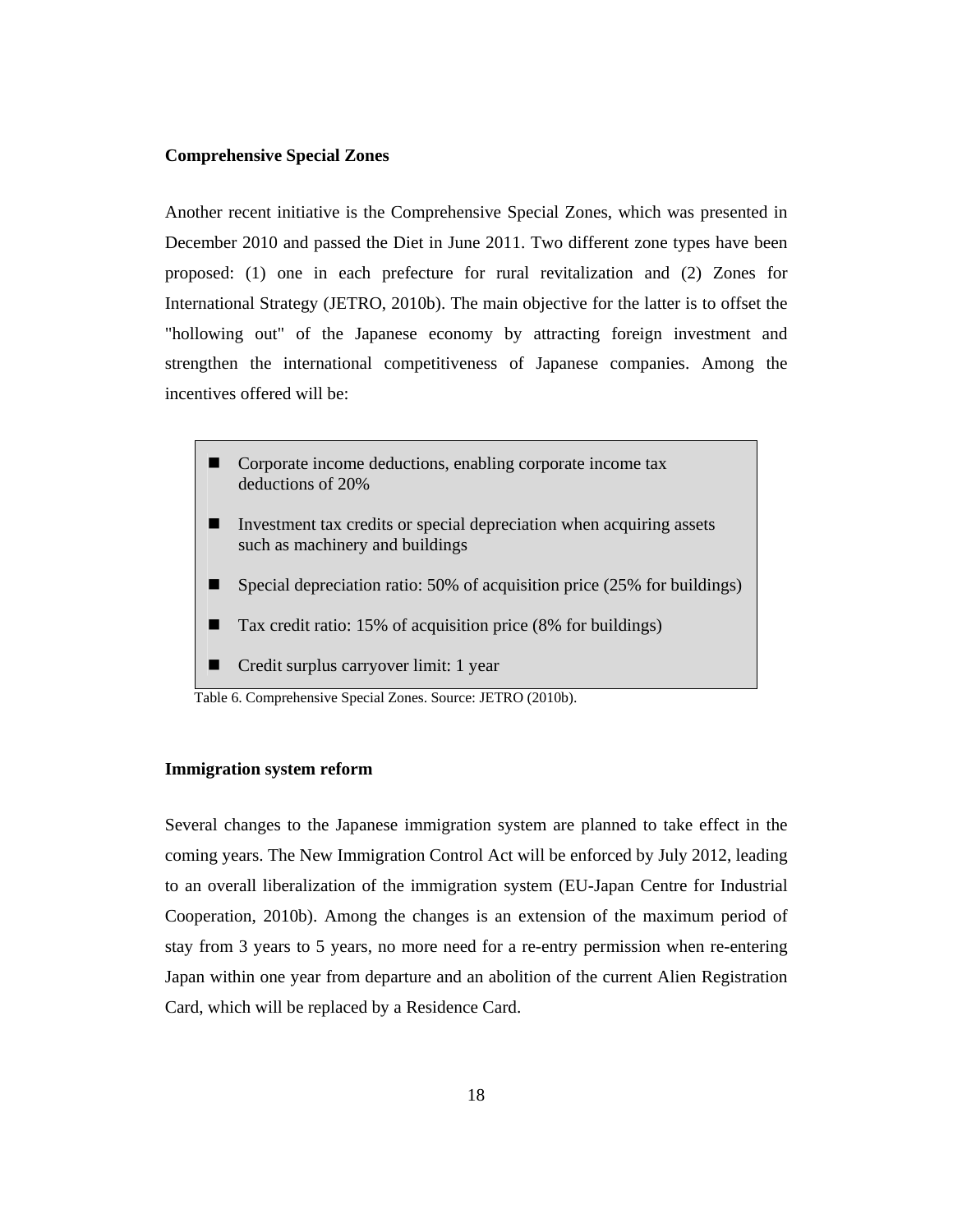#### **Comprehensive Special Zones**

Another recent initiative is the Comprehensive Special Zones, which was presented in December 2010 and passed the Diet in June 2011. Two different zone types have been proposed: (1) one in each prefecture for rural revitalization and (2) Zones for International Strategy (JETRO, 2010b). The main objective for the latter is to offset the "hollowing out" of the Japanese economy by attracting foreign investment and strengthen the international competitiveness of Japanese companies. Among the incentives offered will be:

- Corporate income deductions, enabling corporate income tax deductions of 20%
- Investment tax credits or special depreciation when acquiring assets such as machinery and buildings
- Special depreciation ratio:  $50\%$  of acquisition price (25% for buildings)
- Tax credit ratio: 15% of acquisition price (8% for buildings)
- Credit surplus carryover limit: 1 year

Table 6. Comprehensive Special Zones. Source: JETRO (2010b).

#### **Immigration system reform**

Several changes to the Japanese immigration system are planned to take effect in the coming years. The New Immigration Control Act will be enforced by July 2012, leading to an overall liberalization of the immigration system (EU-Japan Centre for Industrial Cooperation, 2010b). Among the changes is an extension of the maximum period of stay from 3 years to 5 years, no more need for a re-entry permission when re-entering Japan within one year from departure and an abolition of the current Alien Registration Card, which will be replaced by a Residence Card.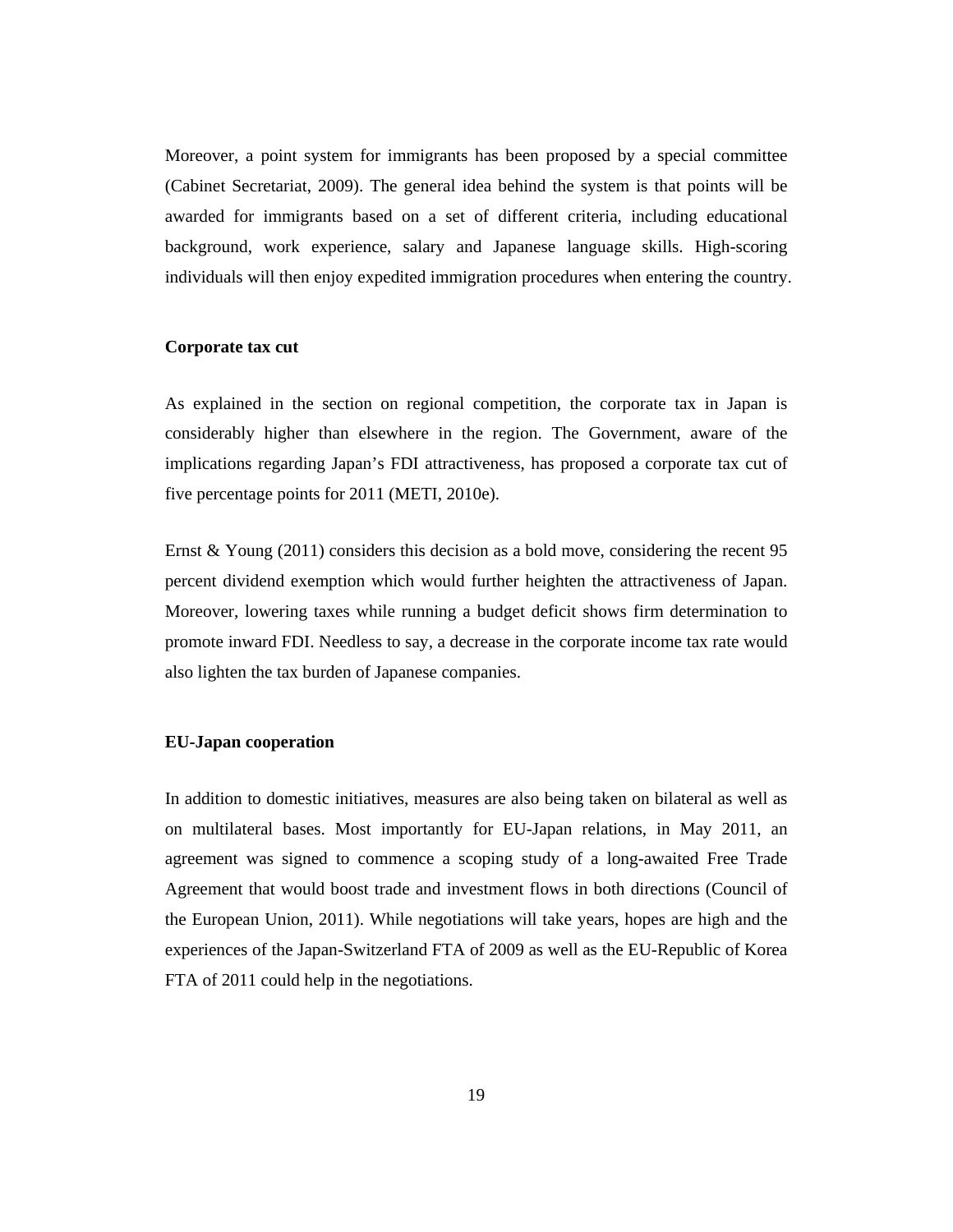Moreover, a point system for immigrants has been proposed by a special committee (Cabinet Secretariat, 2009). The general idea behind the system is that points will be awarded for immigrants based on a set of different criteria, including educational background, work experience, salary and Japanese language skills. High-scoring individuals will then enjoy expedited immigration procedures when entering the country.

#### **Corporate tax cut**

As explained in the section on regional competition, the corporate tax in Japan is considerably higher than elsewhere in the region. The Government, aware of the implications regarding Japan's FDI attractiveness, has proposed a corporate tax cut of five percentage points for 2011 (METI, 2010e).

Ernst & Young (2011) considers this decision as a bold move, considering the recent 95 percent dividend exemption which would further heighten the attractiveness of Japan. Moreover, lowering taxes while running a budget deficit shows firm determination to promote inward FDI. Needless to say, a decrease in the corporate income tax rate would also lighten the tax burden of Japanese companies.

#### **EU-Japan cooperation**

In addition to domestic initiatives, measures are also being taken on bilateral as well as on multilateral bases. Most importantly for EU-Japan relations, in May 2011, an agreement was signed to commence a scoping study of a long-awaited Free Trade Agreement that would boost trade and investment flows in both directions (Council of the European Union, 2011). While negotiations will take years, hopes are high and the experiences of the Japan-Switzerland FTA of 2009 as well as the EU-Republic of Korea FTA of 2011 could help in the negotiations.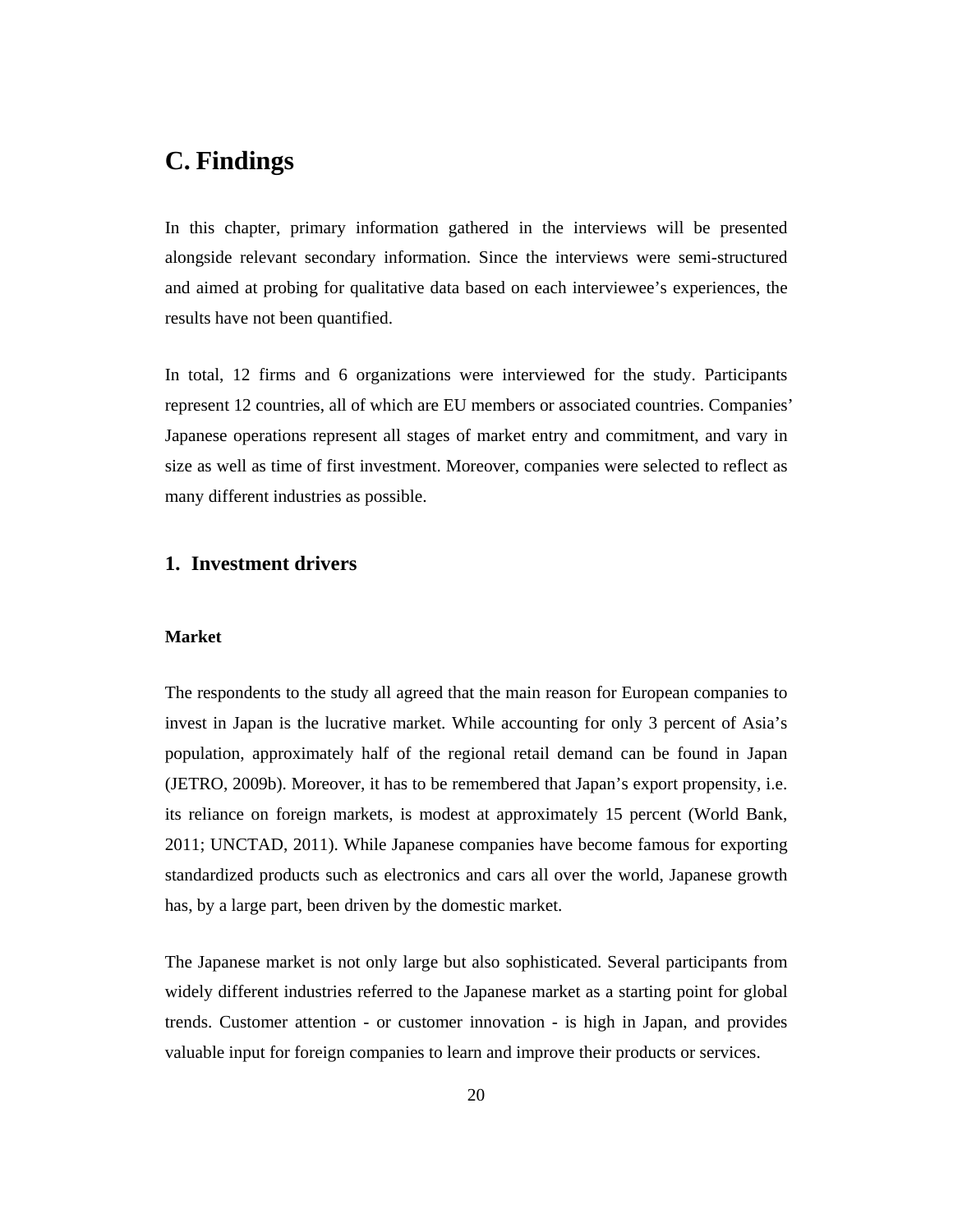# **C. Findings**

In this chapter, primary information gathered in the interviews will be presented alongside relevant secondary information. Since the interviews were semi-structured and aimed at probing for qualitative data based on each interviewee's experiences, the results have not been quantified.

In total, 12 firms and 6 organizations were interviewed for the study. Participants represent 12 countries, all of which are EU members or associated countries. Companies' Japanese operations represent all stages of market entry and commitment, and vary in size as well as time of first investment. Moreover, companies were selected to reflect as many different industries as possible.

## **1. Investment drivers**

#### **Market**

The respondents to the study all agreed that the main reason for European companies to invest in Japan is the lucrative market. While accounting for only 3 percent of Asia's population, approximately half of the regional retail demand can be found in Japan (JETRO, 2009b). Moreover, it has to be remembered that Japan's export propensity, i.e. its reliance on foreign markets, is modest at approximately 15 percent (World Bank, 2011; UNCTAD, 2011). While Japanese companies have become famous for exporting standardized products such as electronics and cars all over the world, Japanese growth has, by a large part, been driven by the domestic market.

The Japanese market is not only large but also sophisticated. Several participants from widely different industries referred to the Japanese market as a starting point for global trends. Customer attention - or customer innovation - is high in Japan, and provides valuable input for foreign companies to learn and improve their products or services.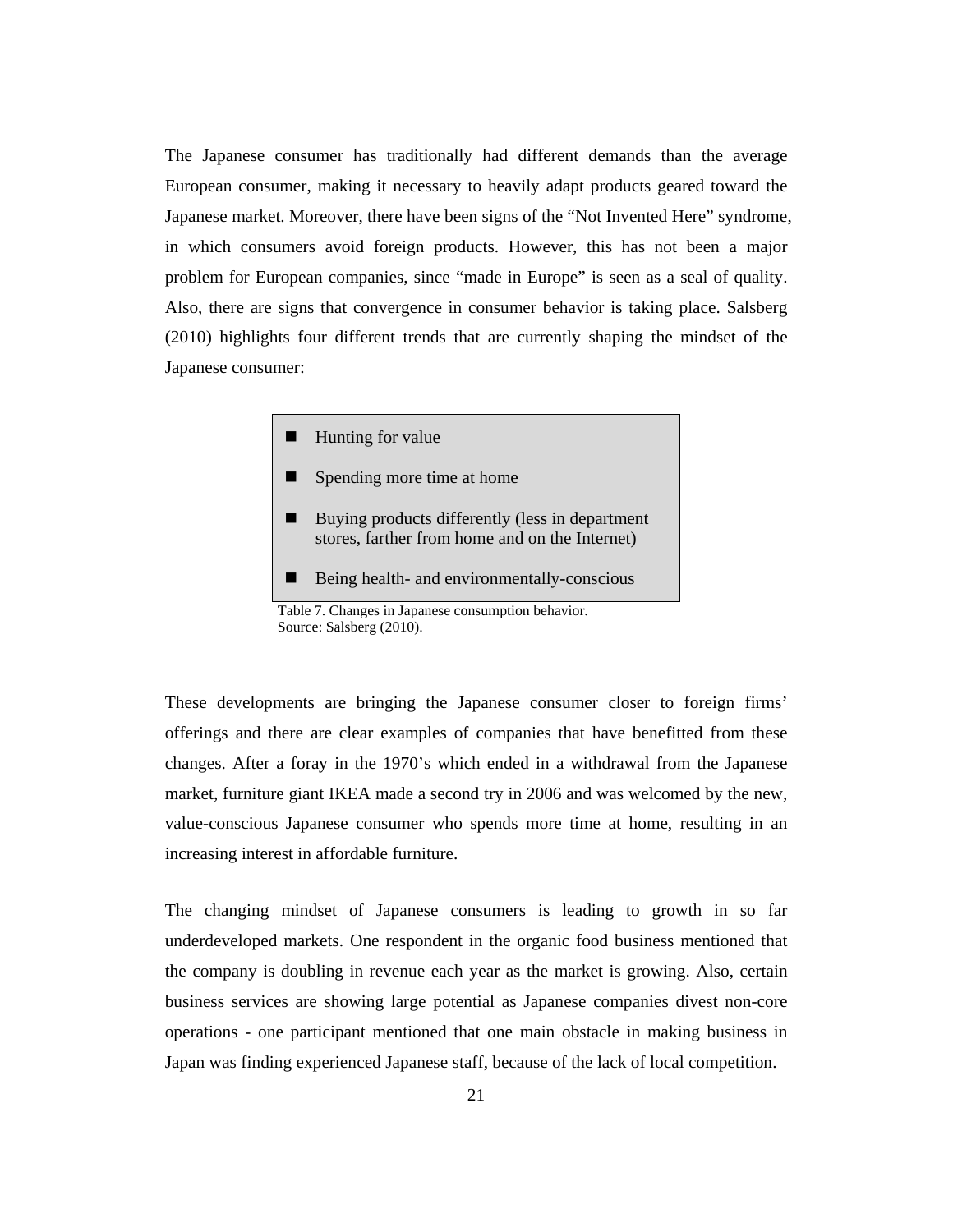The Japanese consumer has traditionally had different demands than the average European consumer, making it necessary to heavily adapt products geared toward the Japanese market. Moreover, there have been signs of the "Not Invented Here" syndrome, in which consumers avoid foreign products. However, this has not been a major problem for European companies, since "made in Europe" is seen as a seal of quality. Also, there are signs that convergence in consumer behavior is taking place. Salsberg (2010) highlights four different trends that are currently shaping the mindset of the Japanese consumer:

 $\blacksquare$  Hunting for value

- **Spending more time at home**
- Buying products differently (less in department stores, farther from home and on the Internet)
- Being health- and environmentally-conscious

These developments are bringing the Japanese consumer closer to foreign firms' offerings and there are clear examples of companies that have benefitted from these changes. After a foray in the 1970's which ended in a withdrawal from the Japanese market, furniture giant IKEA made a second try in 2006 and was welcomed by the new, value-conscious Japanese consumer who spends more time at home, resulting in an increasing interest in affordable furniture.

The changing mindset of Japanese consumers is leading to growth in so far underdeveloped markets. One respondent in the organic food business mentioned that the company is doubling in revenue each year as the market is growing. Also, certain business services are showing large potential as Japanese companies divest non-core operations - one participant mentioned that one main obstacle in making business in Japan was finding experienced Japanese staff, because of the lack of local competition.

Table 7. Changes in Japanese consumption behavior. Source: Salsberg (2010).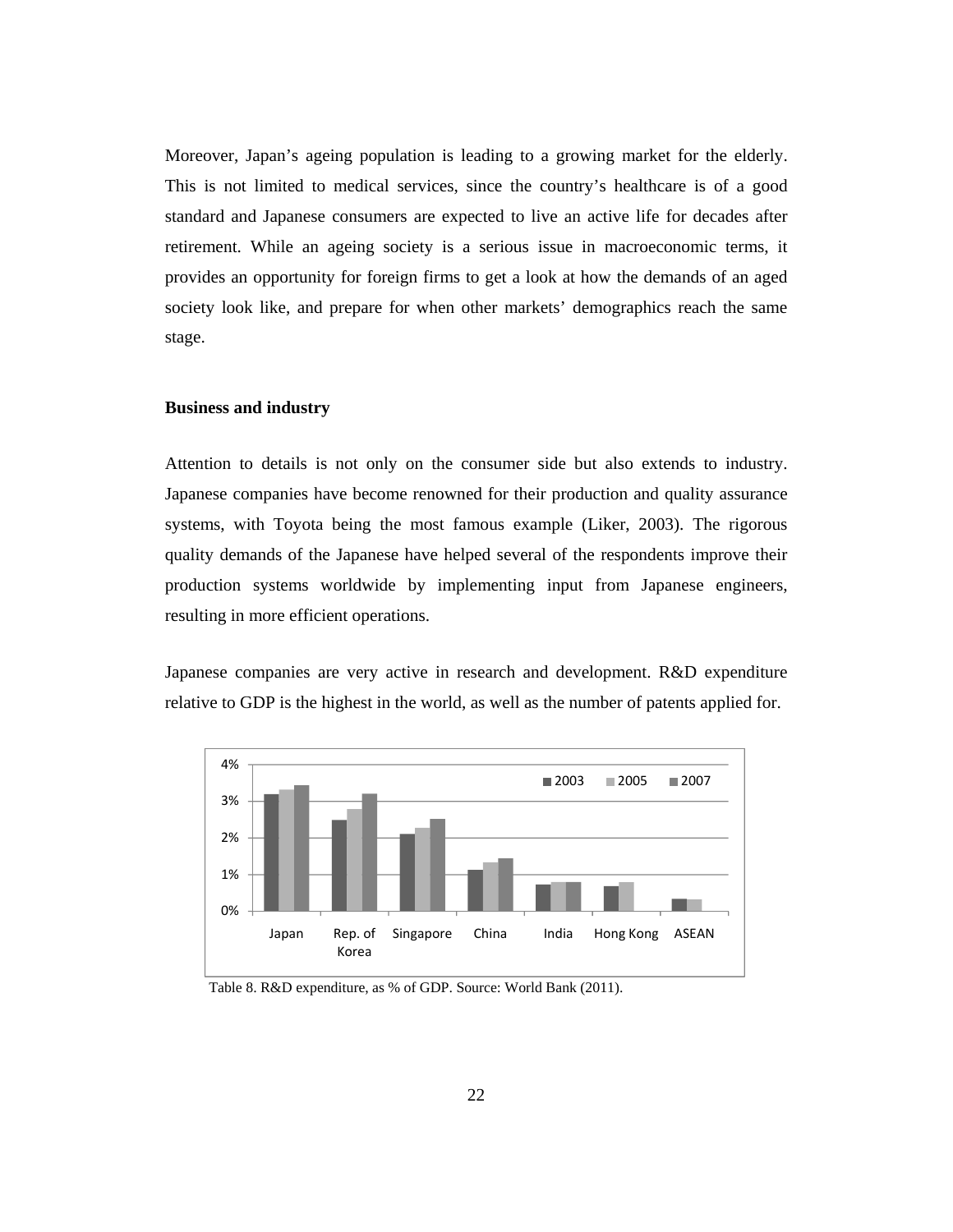Moreover, Japan's ageing population is leading to a growing market for the elderly. This is not limited to medical services, since the country's healthcare is of a good standard and Japanese consumers are expected to live an active life for decades after retirement. While an ageing society is a serious issue in macroeconomic terms, it provides an opportunity for foreign firms to get a look at how the demands of an aged society look like, and prepare for when other markets' demographics reach the same stage.

#### **Business and industry**

Attention to details is not only on the consumer side but also extends to industry. Japanese companies have become renowned for their production and quality assurance systems, with Toyota being the most famous example (Liker, 2003). The rigorous quality demands of the Japanese have helped several of the respondents improve their production systems worldwide by implementing input from Japanese engineers, resulting in more efficient operations.

Japanese companies are very active in research and development. R&D expenditure relative to GDP is the highest in the world, as well as the number of patents applied for.



Table 8. R&D expenditure, as % of GDP. Source: World Bank (2011).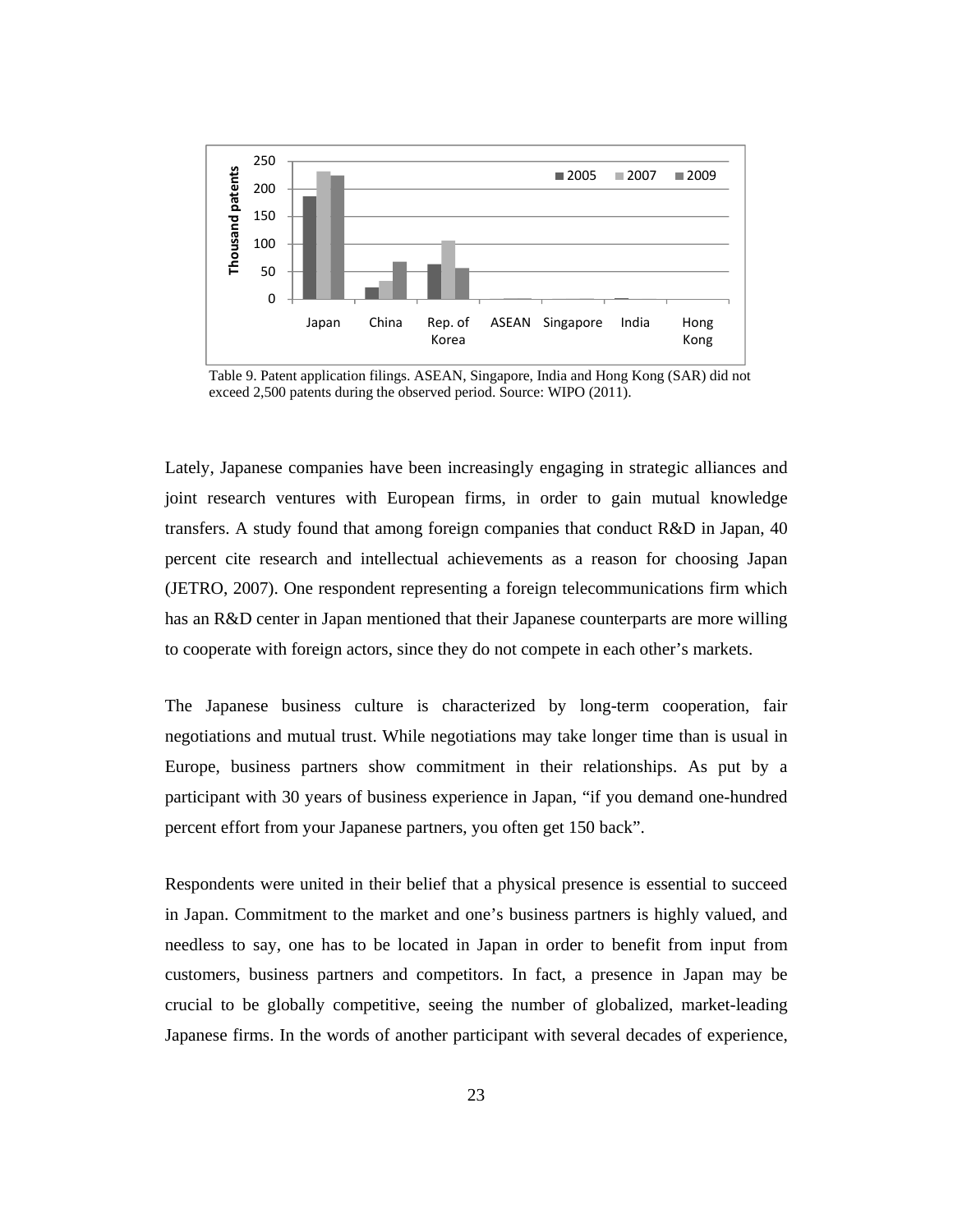

Table 9. Patent application filings. ASEAN, Singapore, India and Hong Kong (SAR) did not exceed 2,500 patents during the observed period. Source: WIPO (2011).

Lately, Japanese companies have been increasingly engaging in strategic alliances and joint research ventures with European firms, in order to gain mutual knowledge transfers. A study found that among foreign companies that conduct R&D in Japan, 40 percent cite research and intellectual achievements as a reason for choosing Japan (JETRO, 2007). One respondent representing a foreign telecommunications firm which has an R&D center in Japan mentioned that their Japanese counterparts are more willing to cooperate with foreign actors, since they do not compete in each other's markets.

The Japanese business culture is characterized by long-term cooperation, fair negotiations and mutual trust. While negotiations may take longer time than is usual in Europe, business partners show commitment in their relationships. As put by a participant with 30 years of business experience in Japan, "if you demand one-hundred percent effort from your Japanese partners, you often get 150 back".

Respondents were united in their belief that a physical presence is essential to succeed in Japan. Commitment to the market and one's business partners is highly valued, and needless to say, one has to be located in Japan in order to benefit from input from customers, business partners and competitors. In fact, a presence in Japan may be crucial to be globally competitive, seeing the number of globalized, market-leading Japanese firms. In the words of another participant with several decades of experience,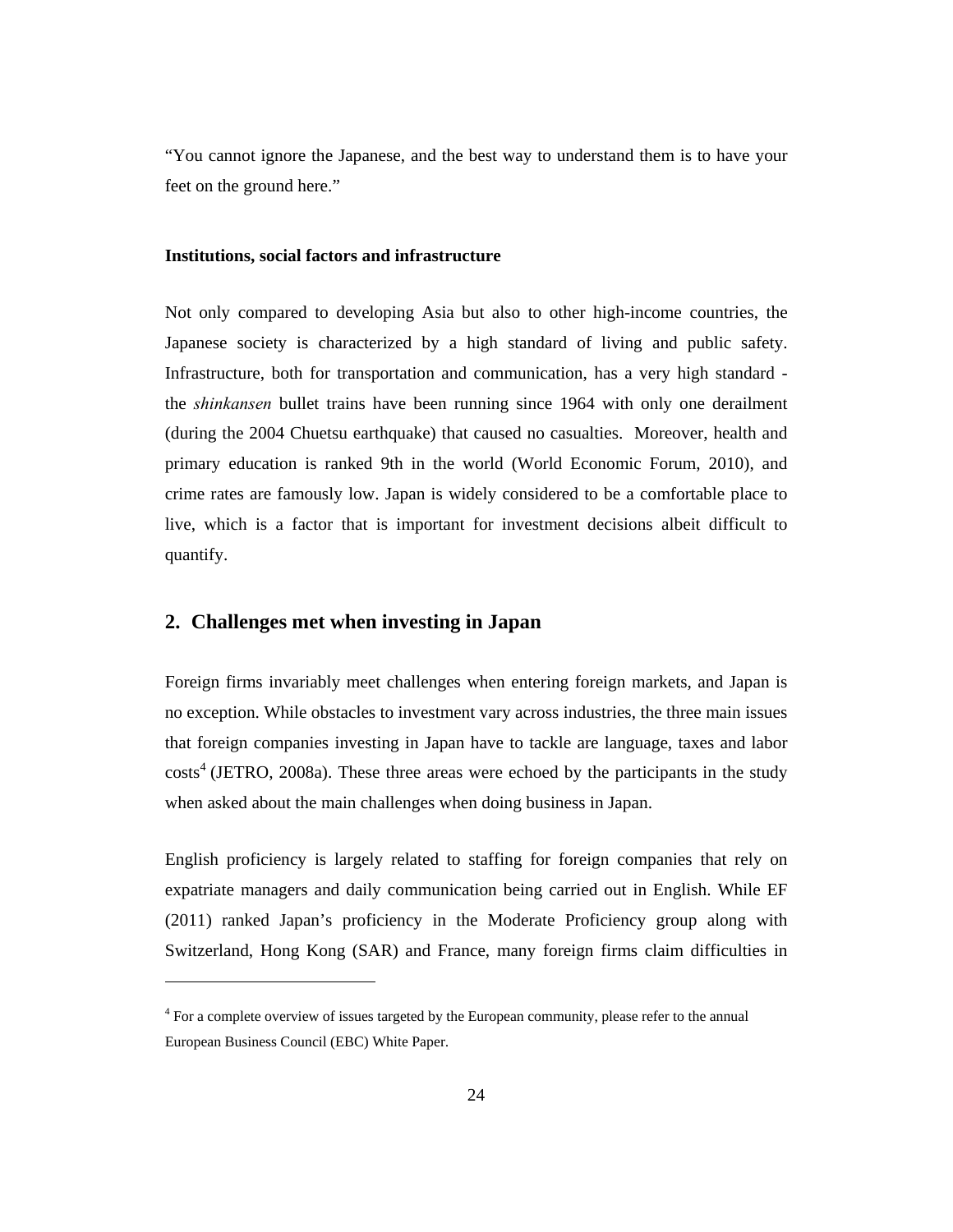"You cannot ignore the Japanese, and the best way to understand them is to have your feet on the ground here."

#### **Institutions, social factors and infrastructure**

Not only compared to developing Asia but also to other high-income countries, the Japanese society is characterized by a high standard of living and public safety. Infrastructure, both for transportation and communication, has a very high standard the *shinkansen* bullet trains have been running since 1964 with only one derailment (during the 2004 Chuetsu earthquake) that caused no casualties. Moreover, health and primary education is ranked 9th in the world (World Economic Forum, 2010), and crime rates are famously low. Japan is widely considered to be a comfortable place to live, which is a factor that is important for investment decisions albeit difficult to quantify.

### **2. Challenges met when investing in Japan**

 $\overline{a}$ 

Foreign firms invariably meet challenges when entering foreign markets, and Japan is no exception. While obstacles to investment vary across industries, the three main issues that foreign companies investing in Japan have to tackle are language, taxes and labor  $costs<sup>4</sup>$  (JETRO, 2008a). These three areas were echoed by the participants in the study when asked about the main challenges when doing business in Japan.

English proficiency is largely related to staffing for foreign companies that rely on expatriate managers and daily communication being carried out in English. While EF (2011) ranked Japan's proficiency in the Moderate Proficiency group along with Switzerland, Hong Kong (SAR) and France, many foreign firms claim difficulties in

 $4$  For a complete overview of issues targeted by the European community, please refer to the annual European Business Council (EBC) White Paper.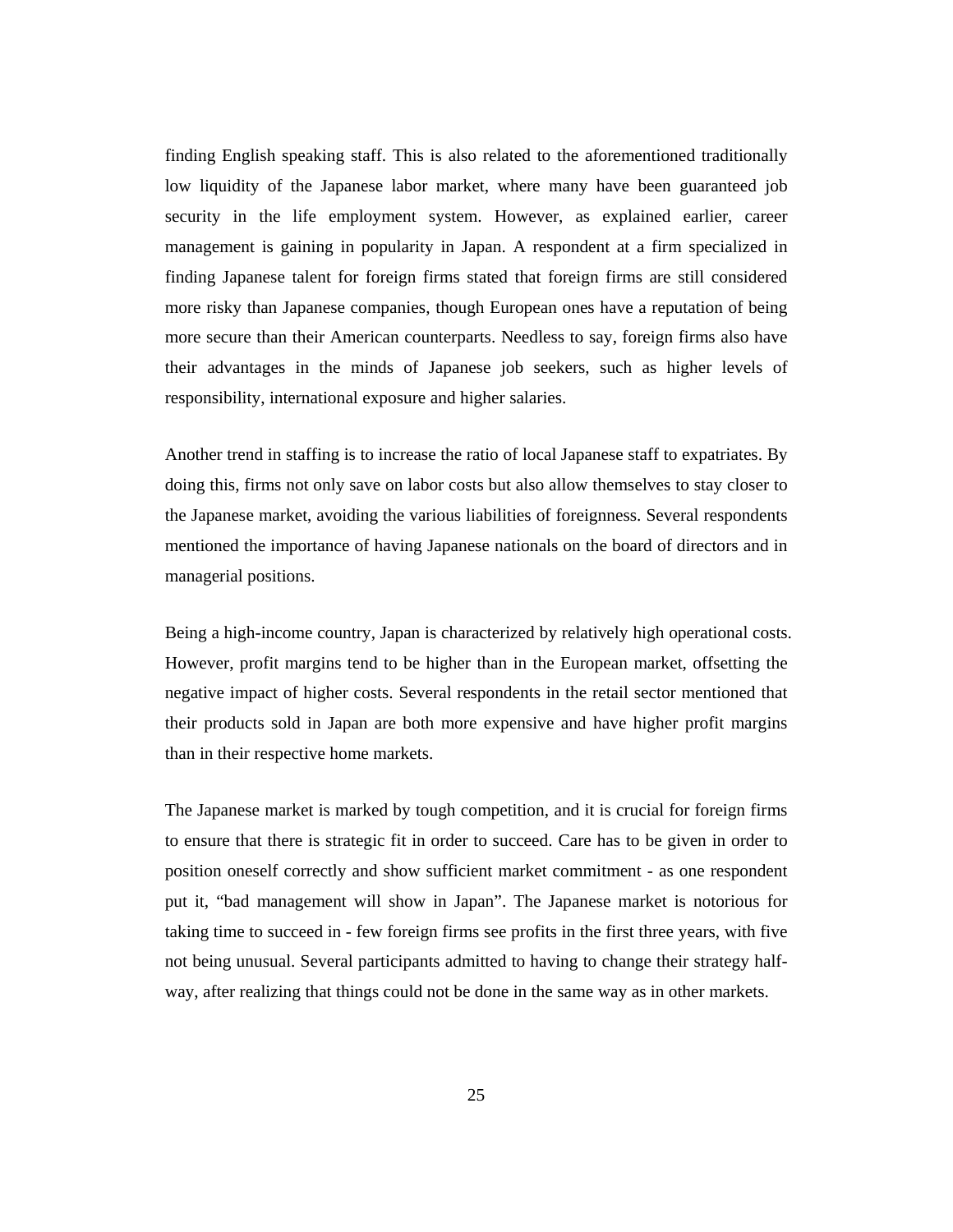finding English speaking staff. This is also related to the aforementioned traditionally low liquidity of the Japanese labor market, where many have been guaranteed job security in the life employment system. However, as explained earlier, career management is gaining in popularity in Japan. A respondent at a firm specialized in finding Japanese talent for foreign firms stated that foreign firms are still considered more risky than Japanese companies, though European ones have a reputation of being more secure than their American counterparts. Needless to say, foreign firms also have their advantages in the minds of Japanese job seekers, such as higher levels of responsibility, international exposure and higher salaries.

Another trend in staffing is to increase the ratio of local Japanese staff to expatriates. By doing this, firms not only save on labor costs but also allow themselves to stay closer to the Japanese market, avoiding the various liabilities of foreignness. Several respondents mentioned the importance of having Japanese nationals on the board of directors and in managerial positions.

Being a high-income country, Japan is characterized by relatively high operational costs. However, profit margins tend to be higher than in the European market, offsetting the negative impact of higher costs. Several respondents in the retail sector mentioned that their products sold in Japan are both more expensive and have higher profit margins than in their respective home markets.

The Japanese market is marked by tough competition, and it is crucial for foreign firms to ensure that there is strategic fit in order to succeed. Care has to be given in order to position oneself correctly and show sufficient market commitment - as one respondent put it, "bad management will show in Japan". The Japanese market is notorious for taking time to succeed in - few foreign firms see profits in the first three years, with five not being unusual. Several participants admitted to having to change their strategy halfway, after realizing that things could not be done in the same way as in other markets.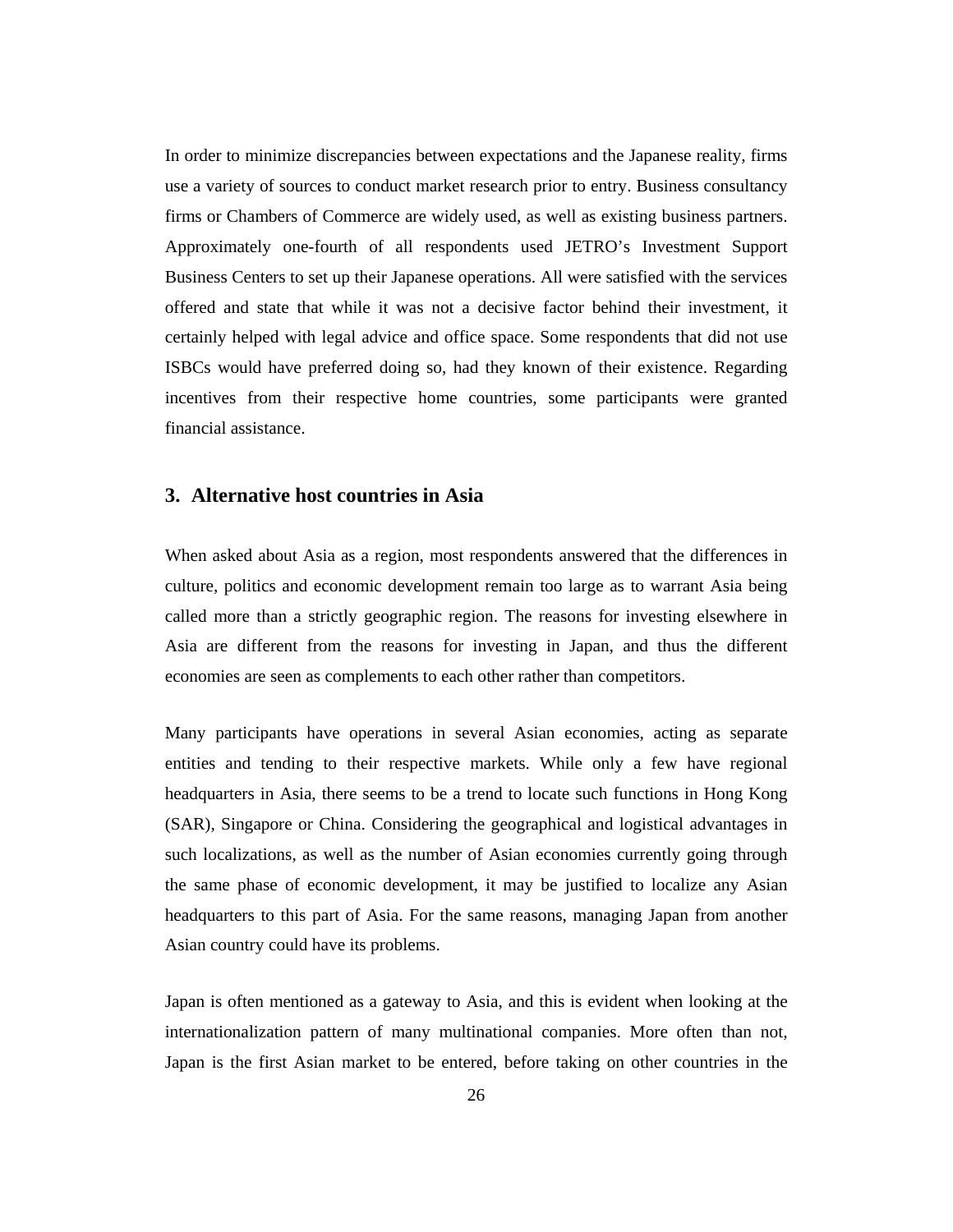In order to minimize discrepancies between expectations and the Japanese reality, firms use a variety of sources to conduct market research prior to entry. Business consultancy firms or Chambers of Commerce are widely used, as well as existing business partners. Approximately one-fourth of all respondents used JETRO's Investment Support Business Centers to set up their Japanese operations. All were satisfied with the services offered and state that while it was not a decisive factor behind their investment, it certainly helped with legal advice and office space. Some respondents that did not use ISBCs would have preferred doing so, had they known of their existence. Regarding incentives from their respective home countries, some participants were granted financial assistance.

#### **3. Alternative host countries in Asia**

When asked about Asia as a region, most respondents answered that the differences in culture, politics and economic development remain too large as to warrant Asia being called more than a strictly geographic region. The reasons for investing elsewhere in Asia are different from the reasons for investing in Japan, and thus the different economies are seen as complements to each other rather than competitors.

Many participants have operations in several Asian economies, acting as separate entities and tending to their respective markets. While only a few have regional headquarters in Asia, there seems to be a trend to locate such functions in Hong Kong (SAR), Singapore or China. Considering the geographical and logistical advantages in such localizations, as well as the number of Asian economies currently going through the same phase of economic development, it may be justified to localize any Asian headquarters to this part of Asia. For the same reasons, managing Japan from another Asian country could have its problems.

Japan is often mentioned as a gateway to Asia, and this is evident when looking at the internationalization pattern of many multinational companies. More often than not, Japan is the first Asian market to be entered, before taking on other countries in the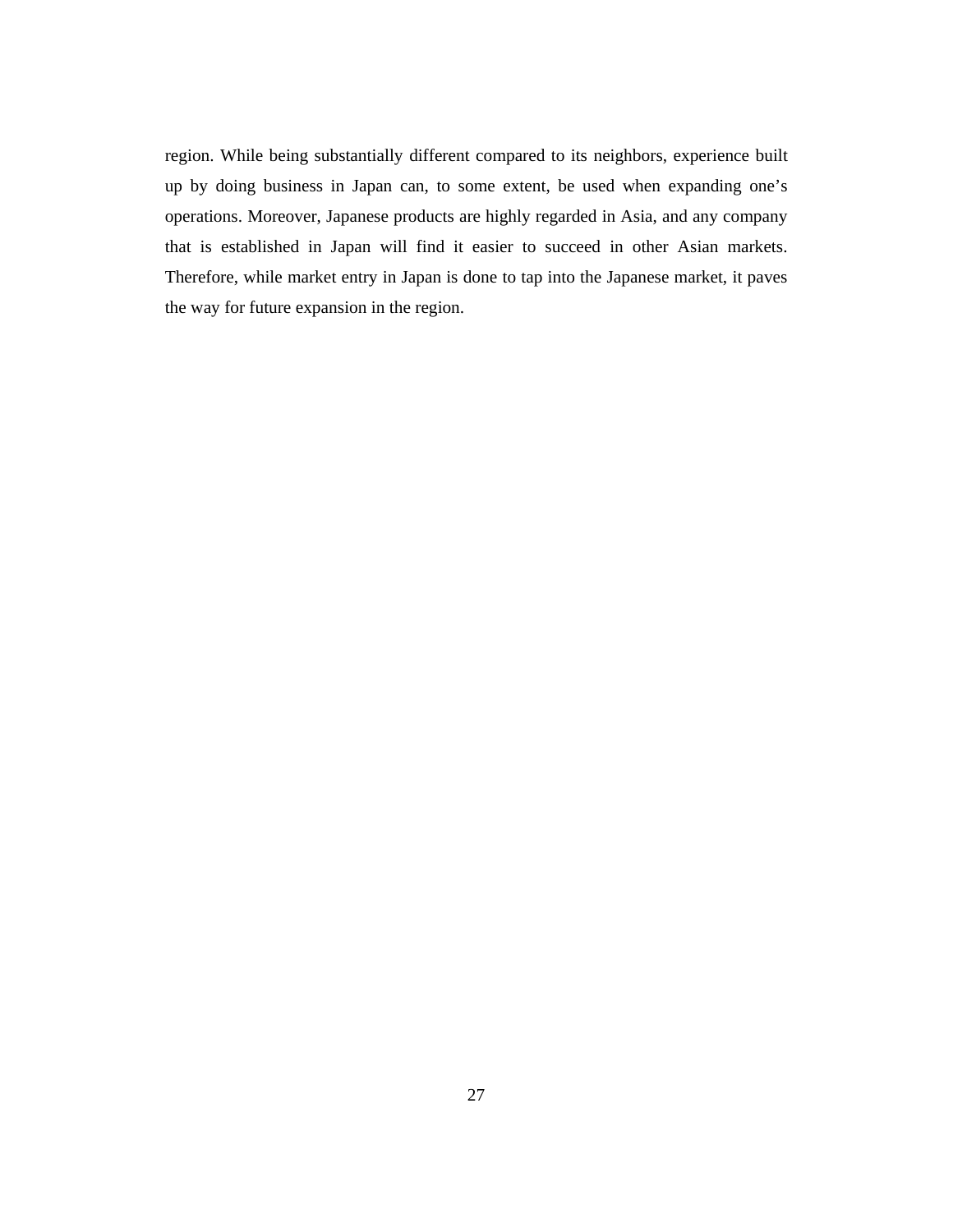region. While being substantially different compared to its neighbors, experience built up by doing business in Japan can, to some extent, be used when expanding one's operations. Moreover, Japanese products are highly regarded in Asia, and any company that is established in Japan will find it easier to succeed in other Asian markets. Therefore, while market entry in Japan is done to tap into the Japanese market, it paves the way for future expansion in the region.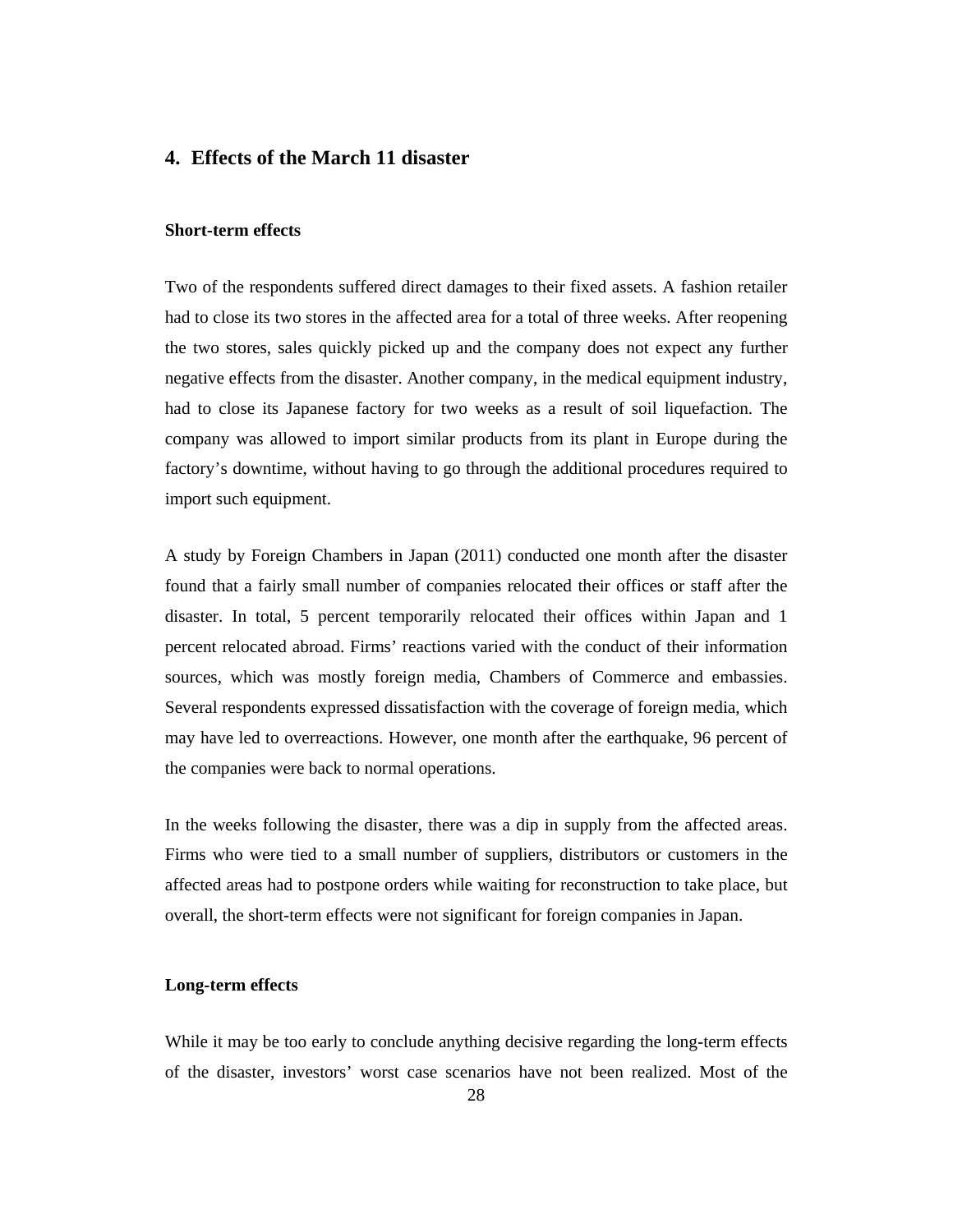### **4. Effects of the March 11 disaster**

#### **Short-term effects**

Two of the respondents suffered direct damages to their fixed assets. A fashion retailer had to close its two stores in the affected area for a total of three weeks. After reopening the two stores, sales quickly picked up and the company does not expect any further negative effects from the disaster. Another company, in the medical equipment industry, had to close its Japanese factory for two weeks as a result of soil liquefaction. The company was allowed to import similar products from its plant in Europe during the factory's downtime, without having to go through the additional procedures required to import such equipment.

A study by Foreign Chambers in Japan (2011) conducted one month after the disaster found that a fairly small number of companies relocated their offices or staff after the disaster. In total, 5 percent temporarily relocated their offices within Japan and 1 percent relocated abroad. Firms' reactions varied with the conduct of their information sources, which was mostly foreign media, Chambers of Commerce and embassies. Several respondents expressed dissatisfaction with the coverage of foreign media, which may have led to overreactions. However, one month after the earthquake, 96 percent of the companies were back to normal operations.

In the weeks following the disaster, there was a dip in supply from the affected areas. Firms who were tied to a small number of suppliers, distributors or customers in the affected areas had to postpone orders while waiting for reconstruction to take place, but overall, the short-term effects were not significant for foreign companies in Japan.

#### **Long-term effects**

While it may be too early to conclude anything decisive regarding the long-term effects of the disaster, investors' worst case scenarios have not been realized. Most of the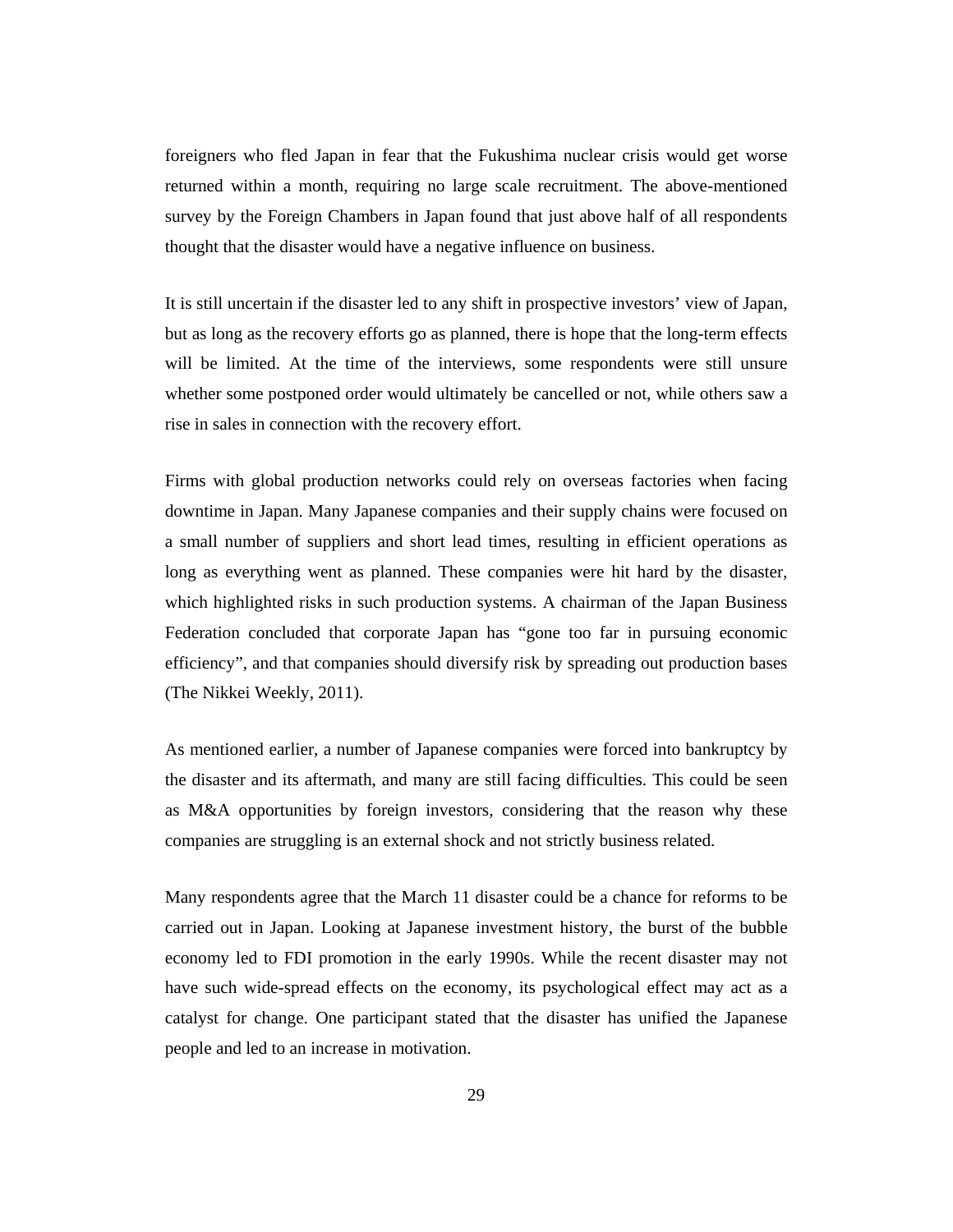foreigners who fled Japan in fear that the Fukushima nuclear crisis would get worse returned within a month, requiring no large scale recruitment. The above-mentioned survey by the Foreign Chambers in Japan found that just above half of all respondents thought that the disaster would have a negative influence on business.

It is still uncertain if the disaster led to any shift in prospective investors' view of Japan, but as long as the recovery efforts go as planned, there is hope that the long-term effects will be limited. At the time of the interviews, some respondents were still unsure whether some postponed order would ultimately be cancelled or not, while others saw a rise in sales in connection with the recovery effort.

Firms with global production networks could rely on overseas factories when facing downtime in Japan. Many Japanese companies and their supply chains were focused on a small number of suppliers and short lead times, resulting in efficient operations as long as everything went as planned. These companies were hit hard by the disaster, which highlighted risks in such production systems. A chairman of the Japan Business Federation concluded that corporate Japan has "gone too far in pursuing economic efficiency", and that companies should diversify risk by spreading out production bases (The Nikkei Weekly, 2011).

As mentioned earlier, a number of Japanese companies were forced into bankruptcy by the disaster and its aftermath, and many are still facing difficulties. This could be seen as M&A opportunities by foreign investors, considering that the reason why these companies are struggling is an external shock and not strictly business related.

Many respondents agree that the March 11 disaster could be a chance for reforms to be carried out in Japan. Looking at Japanese investment history, the burst of the bubble economy led to FDI promotion in the early 1990s. While the recent disaster may not have such wide-spread effects on the economy, its psychological effect may act as a catalyst for change. One participant stated that the disaster has unified the Japanese people and led to an increase in motivation.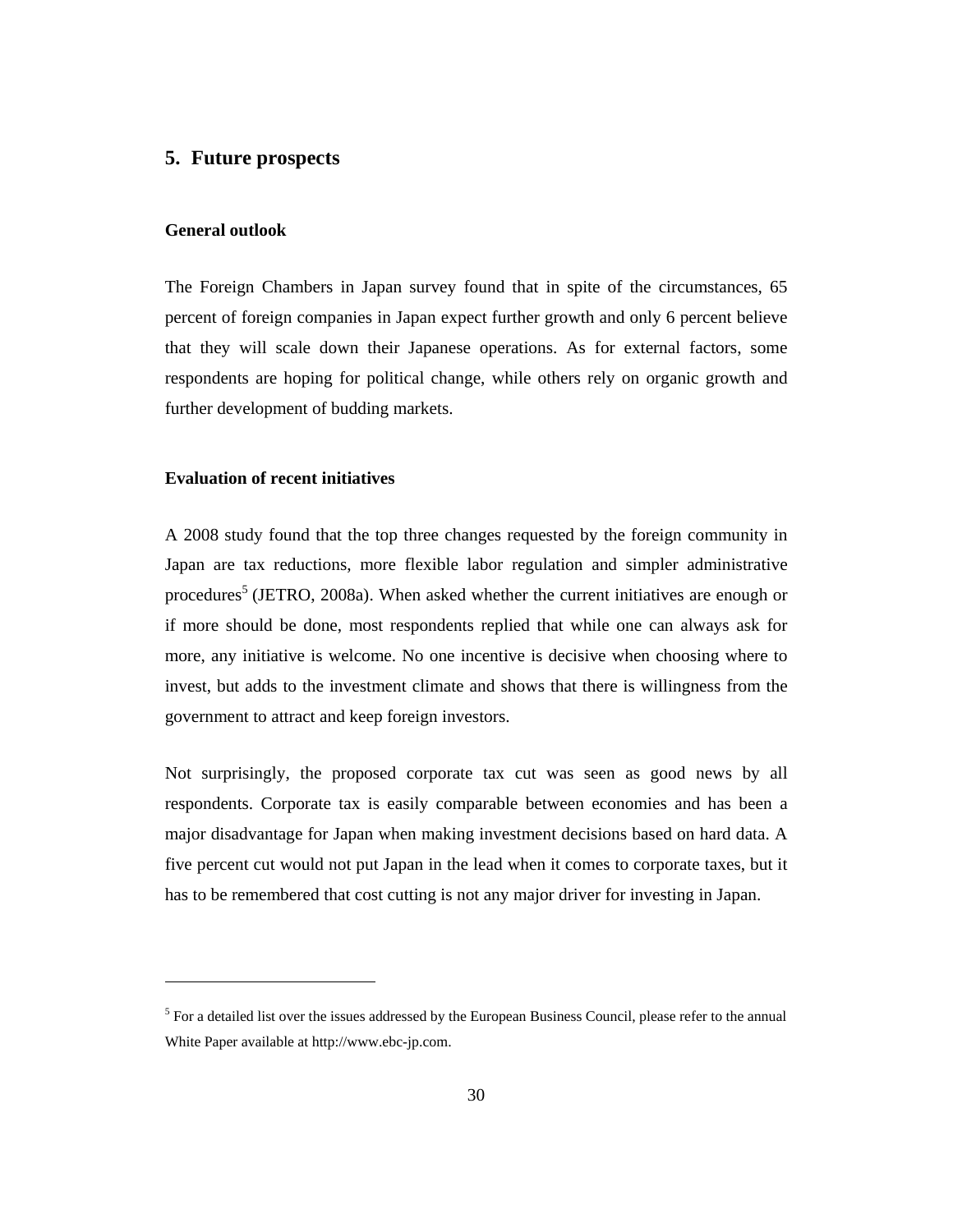#### **5. Future prospects**

#### **General outlook**

 $\overline{a}$ 

The Foreign Chambers in Japan survey found that in spite of the circumstances, 65 percent of foreign companies in Japan expect further growth and only 6 percent believe that they will scale down their Japanese operations. As for external factors, some respondents are hoping for political change, while others rely on organic growth and further development of budding markets.

#### **Evaluation of recent initiatives**

A 2008 study found that the top three changes requested by the foreign community in Japan are tax reductions, more flexible labor regulation and simpler administrative procedures<sup>5</sup> (JETRO, 2008a). When asked whether the current initiatives are enough or if more should be done, most respondents replied that while one can always ask for more, any initiative is welcome. No one incentive is decisive when choosing where to invest, but adds to the investment climate and shows that there is willingness from the government to attract and keep foreign investors.

Not surprisingly, the proposed corporate tax cut was seen as good news by all respondents. Corporate tax is easily comparable between economies and has been a major disadvantage for Japan when making investment decisions based on hard data. A five percent cut would not put Japan in the lead when it comes to corporate taxes, but it has to be remembered that cost cutting is not any major driver for investing in Japan.

<sup>&</sup>lt;sup>5</sup> For a detailed list over the issues addressed by the European Business Council, please refer to the annual White Paper available at http://www.ebc-jp.com.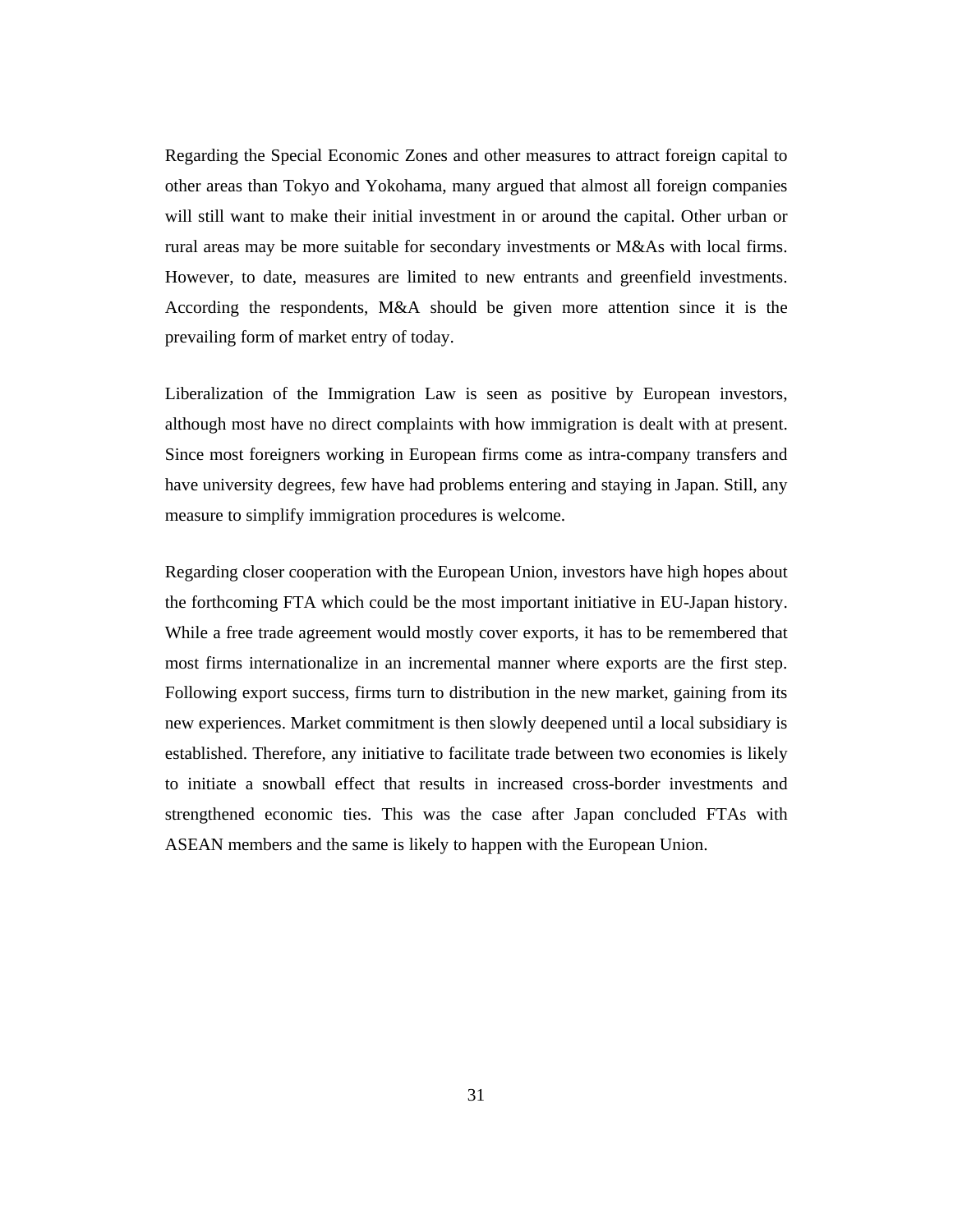Regarding the Special Economic Zones and other measures to attract foreign capital to other areas than Tokyo and Yokohama, many argued that almost all foreign companies will still want to make their initial investment in or around the capital. Other urban or rural areas may be more suitable for secondary investments or M&As with local firms. However, to date, measures are limited to new entrants and greenfield investments. According the respondents, M&A should be given more attention since it is the prevailing form of market entry of today.

Liberalization of the Immigration Law is seen as positive by European investors, although most have no direct complaints with how immigration is dealt with at present. Since most foreigners working in European firms come as intra-company transfers and have university degrees, few have had problems entering and staying in Japan. Still, any measure to simplify immigration procedures is welcome.

Regarding closer cooperation with the European Union, investors have high hopes about the forthcoming FTA which could be the most important initiative in EU-Japan history. While a free trade agreement would mostly cover exports, it has to be remembered that most firms internationalize in an incremental manner where exports are the first step. Following export success, firms turn to distribution in the new market, gaining from its new experiences. Market commitment is then slowly deepened until a local subsidiary is established. Therefore, any initiative to facilitate trade between two economies is likely to initiate a snowball effect that results in increased cross-border investments and strengthened economic ties. This was the case after Japan concluded FTAs with ASEAN members and the same is likely to happen with the European Union.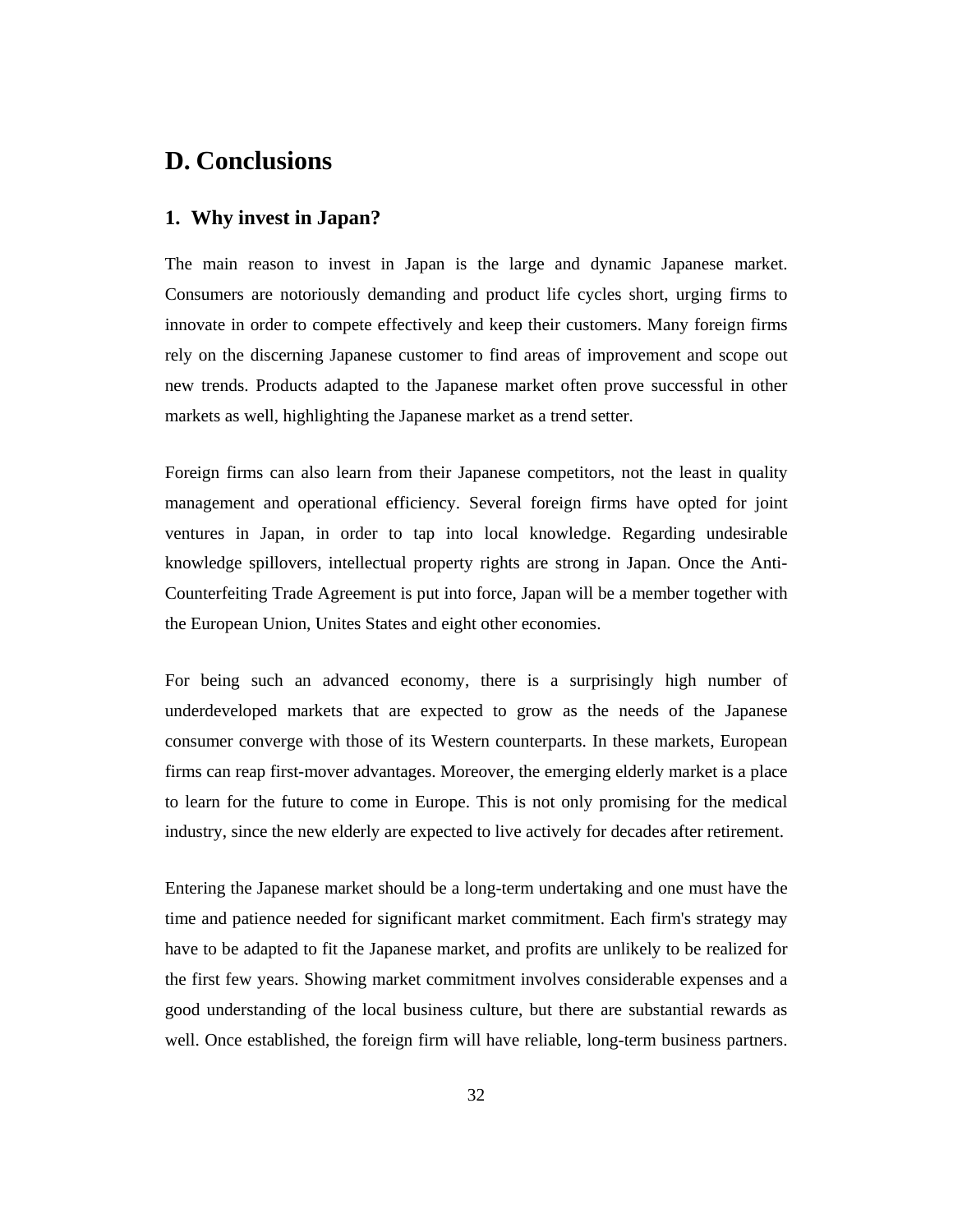# **D. Conclusions**

### **1. Why invest in Japan?**

The main reason to invest in Japan is the large and dynamic Japanese market. Consumers are notoriously demanding and product life cycles short, urging firms to innovate in order to compete effectively and keep their customers. Many foreign firms rely on the discerning Japanese customer to find areas of improvement and scope out new trends. Products adapted to the Japanese market often prove successful in other markets as well, highlighting the Japanese market as a trend setter.

Foreign firms can also learn from their Japanese competitors, not the least in quality management and operational efficiency. Several foreign firms have opted for joint ventures in Japan, in order to tap into local knowledge. Regarding undesirable knowledge spillovers, intellectual property rights are strong in Japan. Once the Anti-Counterfeiting Trade Agreement is put into force, Japan will be a member together with the European Union, Unites States and eight other economies.

For being such an advanced economy, there is a surprisingly high number of underdeveloped markets that are expected to grow as the needs of the Japanese consumer converge with those of its Western counterparts. In these markets, European firms can reap first-mover advantages. Moreover, the emerging elderly market is a place to learn for the future to come in Europe. This is not only promising for the medical industry, since the new elderly are expected to live actively for decades after retirement.

Entering the Japanese market should be a long-term undertaking and one must have the time and patience needed for significant market commitment. Each firm's strategy may have to be adapted to fit the Japanese market, and profits are unlikely to be realized for the first few years. Showing market commitment involves considerable expenses and a good understanding of the local business culture, but there are substantial rewards as well. Once established, the foreign firm will have reliable, long-term business partners.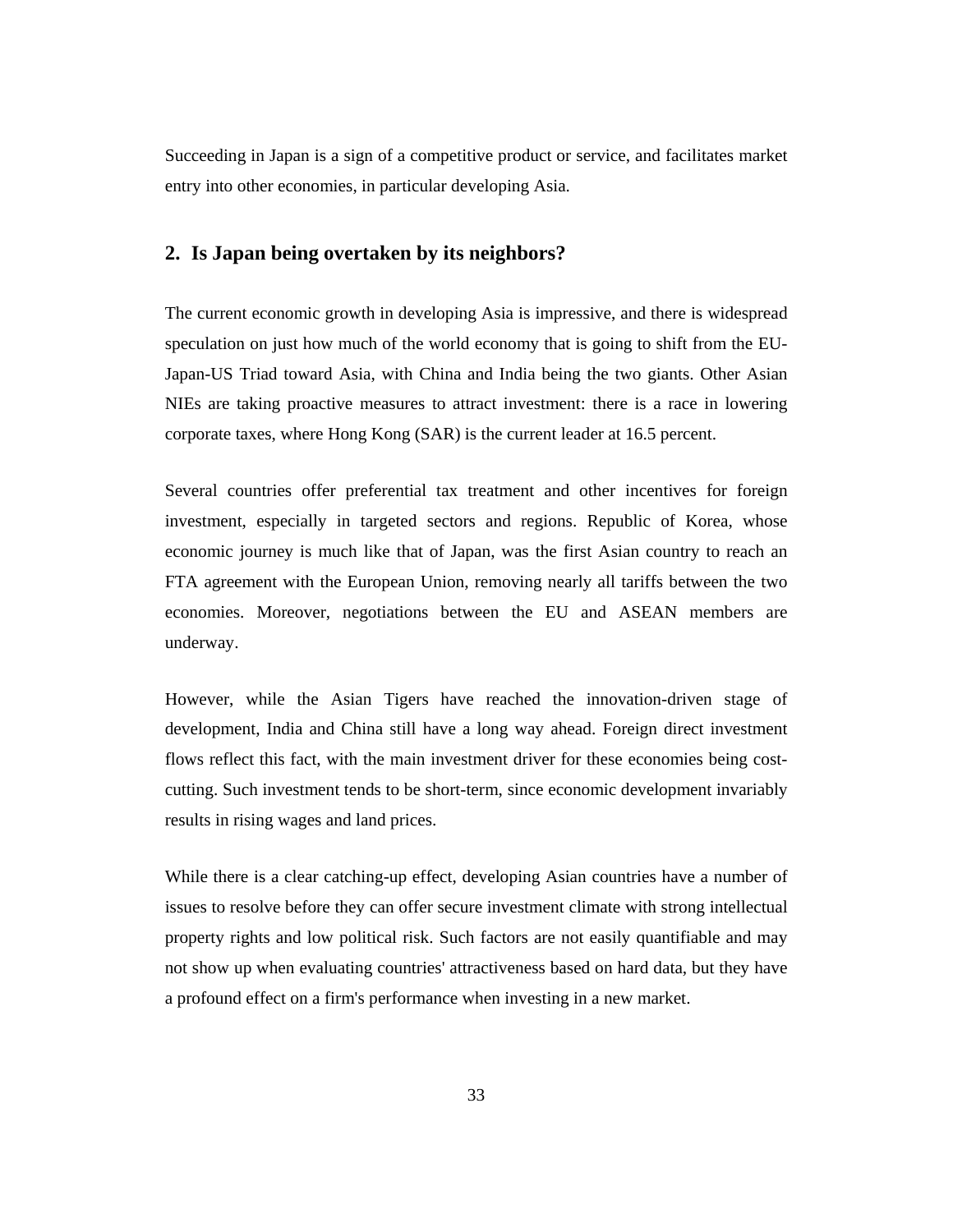Succeeding in Japan is a sign of a competitive product or service, and facilitates market entry into other economies, in particular developing Asia.

#### **2. Is Japan being overtaken by its neighbors?**

The current economic growth in developing Asia is impressive, and there is widespread speculation on just how much of the world economy that is going to shift from the EU-Japan-US Triad toward Asia, with China and India being the two giants. Other Asian NIEs are taking proactive measures to attract investment: there is a race in lowering corporate taxes, where Hong Kong (SAR) is the current leader at 16.5 percent.

Several countries offer preferential tax treatment and other incentives for foreign investment, especially in targeted sectors and regions. Republic of Korea, whose economic journey is much like that of Japan, was the first Asian country to reach an FTA agreement with the European Union, removing nearly all tariffs between the two economies. Moreover, negotiations between the EU and ASEAN members are underway.

However, while the Asian Tigers have reached the innovation-driven stage of development, India and China still have a long way ahead. Foreign direct investment flows reflect this fact, with the main investment driver for these economies being costcutting. Such investment tends to be short-term, since economic development invariably results in rising wages and land prices.

While there is a clear catching-up effect, developing Asian countries have a number of issues to resolve before they can offer secure investment climate with strong intellectual property rights and low political risk. Such factors are not easily quantifiable and may not show up when evaluating countries' attractiveness based on hard data, but they have a profound effect on a firm's performance when investing in a new market.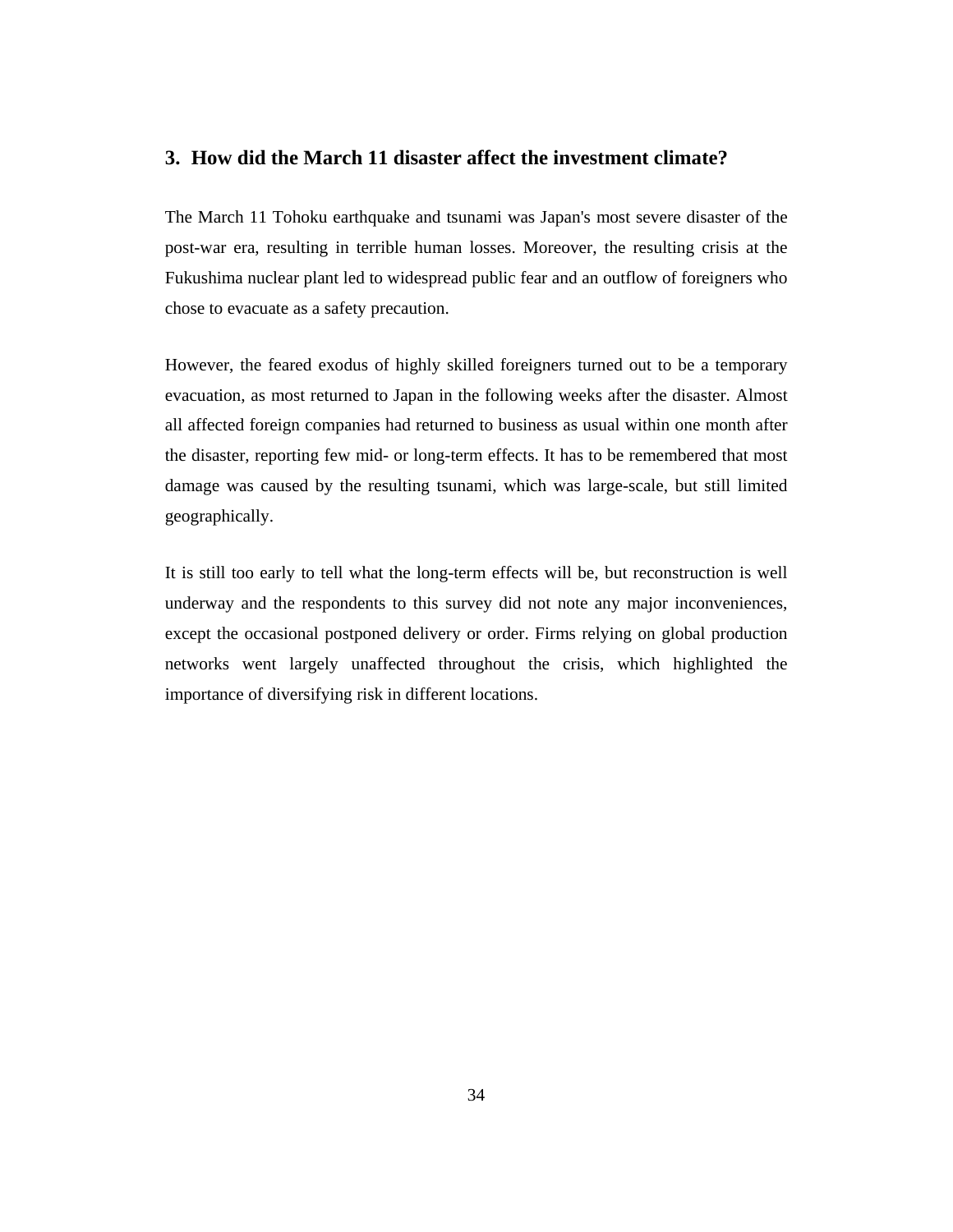### **3. How did the March 11 disaster affect the investment climate?**

The March 11 Tohoku earthquake and tsunami was Japan's most severe disaster of the post-war era, resulting in terrible human losses. Moreover, the resulting crisis at the Fukushima nuclear plant led to widespread public fear and an outflow of foreigners who chose to evacuate as a safety precaution.

However, the feared exodus of highly skilled foreigners turned out to be a temporary evacuation, as most returned to Japan in the following weeks after the disaster. Almost all affected foreign companies had returned to business as usual within one month after the disaster, reporting few mid- or long-term effects. It has to be remembered that most damage was caused by the resulting tsunami, which was large-scale, but still limited geographically.

It is still too early to tell what the long-term effects will be, but reconstruction is well underway and the respondents to this survey did not note any major inconveniences, except the occasional postponed delivery or order. Firms relying on global production networks went largely unaffected throughout the crisis, which highlighted the importance of diversifying risk in different locations.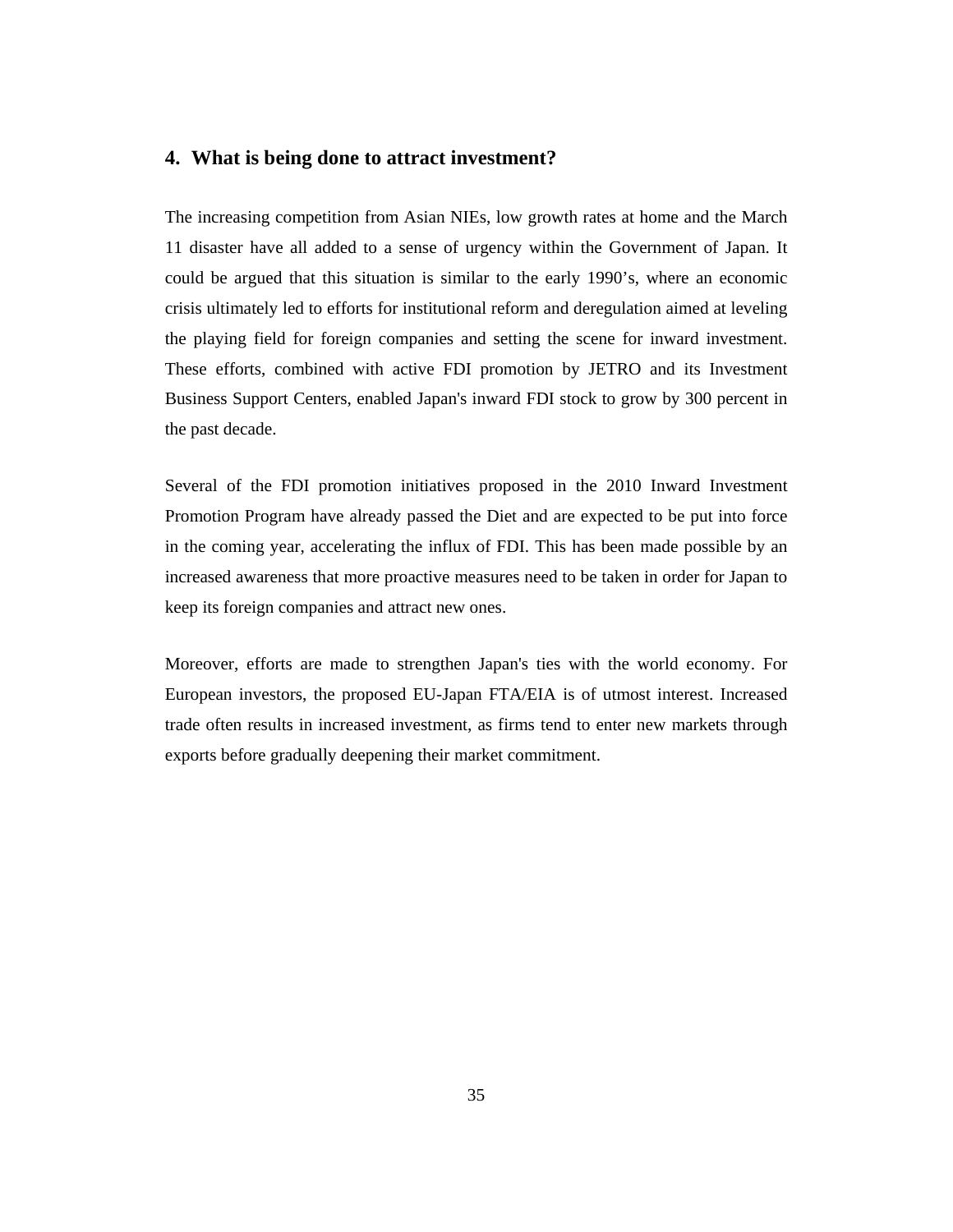### **4. What is being done to attract investment?**

The increasing competition from Asian NIEs, low growth rates at home and the March 11 disaster have all added to a sense of urgency within the Government of Japan. It could be argued that this situation is similar to the early 1990's, where an economic crisis ultimately led to efforts for institutional reform and deregulation aimed at leveling the playing field for foreign companies and setting the scene for inward investment. These efforts, combined with active FDI promotion by JETRO and its Investment Business Support Centers, enabled Japan's inward FDI stock to grow by 300 percent in the past decade.

Several of the FDI promotion initiatives proposed in the 2010 Inward Investment Promotion Program have already passed the Diet and are expected to be put into force in the coming year, accelerating the influx of FDI. This has been made possible by an increased awareness that more proactive measures need to be taken in order for Japan to keep its foreign companies and attract new ones.

Moreover, efforts are made to strengthen Japan's ties with the world economy. For European investors, the proposed EU-Japan FTA/EIA is of utmost interest. Increased trade often results in increased investment, as firms tend to enter new markets through exports before gradually deepening their market commitment.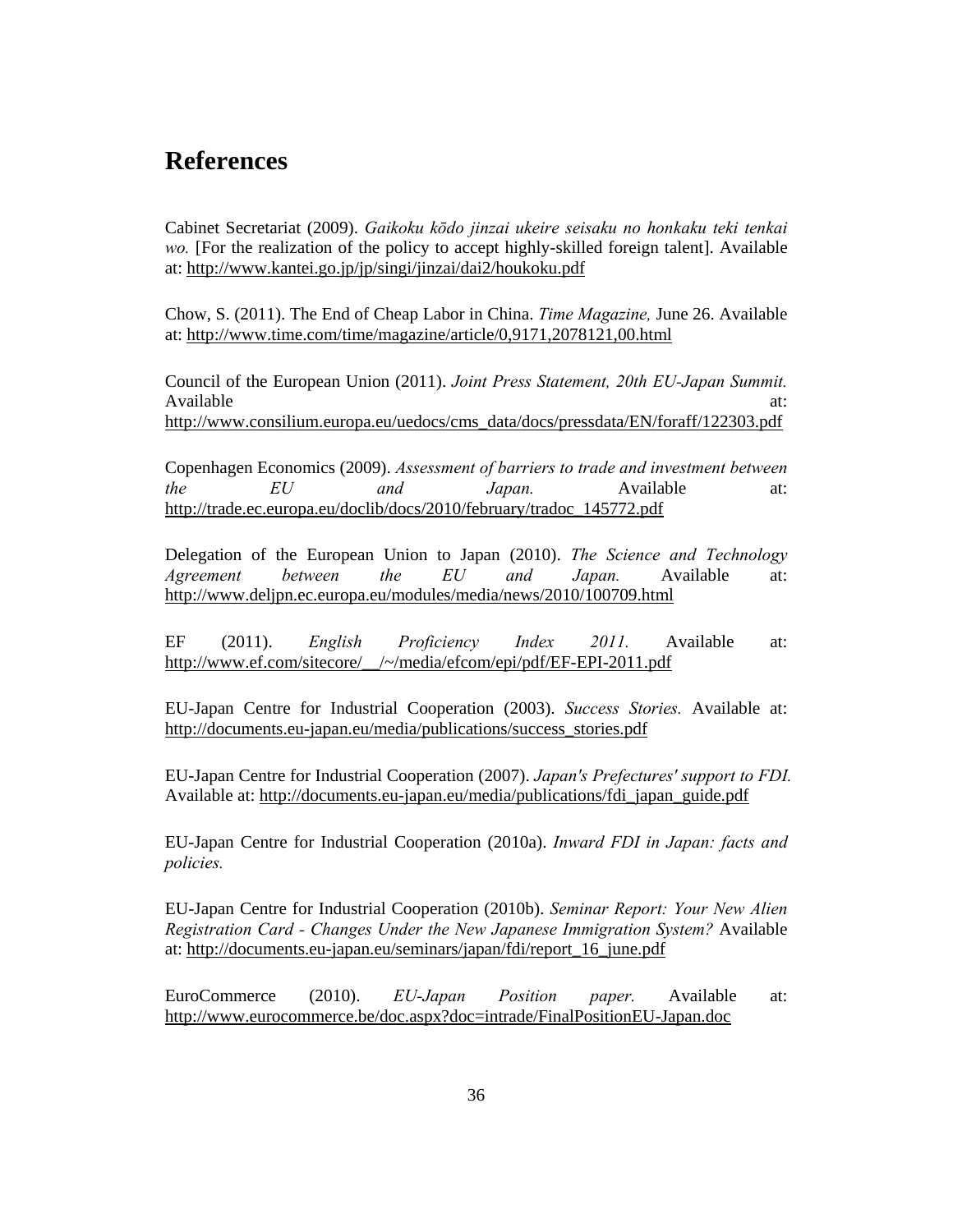# **References**

Cabinet Secretariat (2009). *Gaikoku kōdo jinzai ukeire seisaku no honkaku teki tenkai wo.* [For the realization of the policy to accept highly-skilled foreign talent]. Available at: http://www.kantei.go.jp/jp/singi/jinzai/dai2/houkoku.pdf

Chow, S. (2011). The End of Cheap Labor in China. *Time Magazine,* June 26. Available at: http://www.time.com/time/magazine/article/0,9171,2078121,00.html

Council of the European Union (2011). *Joint Press Statement, 20th EU-Japan Summit.* Available at:  $\alpha$ http://www.consilium.europa.eu/uedocs/cms\_data/docs/pressdata/EN/foraff/122303.pdf

Copenhagen Economics (2009). *Assessment of barriers to trade and investment between the EU and Japan.* Available at: http://trade.ec.europa.eu/doclib/docs/2010/february/tradoc\_145772.pdf

Delegation of the European Union to Japan (2010). *The Science and Technology Agreement between the EU and Japan.* Available at: http://www.deljpn.ec.europa.eu/modules/media/news/2010/100709.html

EF (2011). *English Proficiency Index 2011.* Available at: http://www.ef.com/sitecore/\_\_/~/media/efcom/epi/pdf/EF-EPI-2011.pdf

EU-Japan Centre for Industrial Cooperation (2003). *Success Stories.* Available at: http://documents.eu-japan.eu/media/publications/success\_stories.pdf

EU-Japan Centre for Industrial Cooperation (2007). *Japan's Prefectures' support to FDI.* Available at: http://documents.eu-japan.eu/media/publications/fdi\_japan\_guide.pdf

EU-Japan Centre for Industrial Cooperation (2010a). *Inward FDI in Japan: facts and policies.*

EU-Japan Centre for Industrial Cooperation (2010b). *Seminar Report: Your New Alien Registration Card - Changes Under the New Japanese Immigration System?* Available at: http://documents.eu-japan.eu/seminars/japan/fdi/report\_16\_june.pdf

EuroCommerce (2010). *EU-Japan Position paper.* Available at: http://www.eurocommerce.be/doc.aspx?doc=intrade/FinalPositionEU-Japan.doc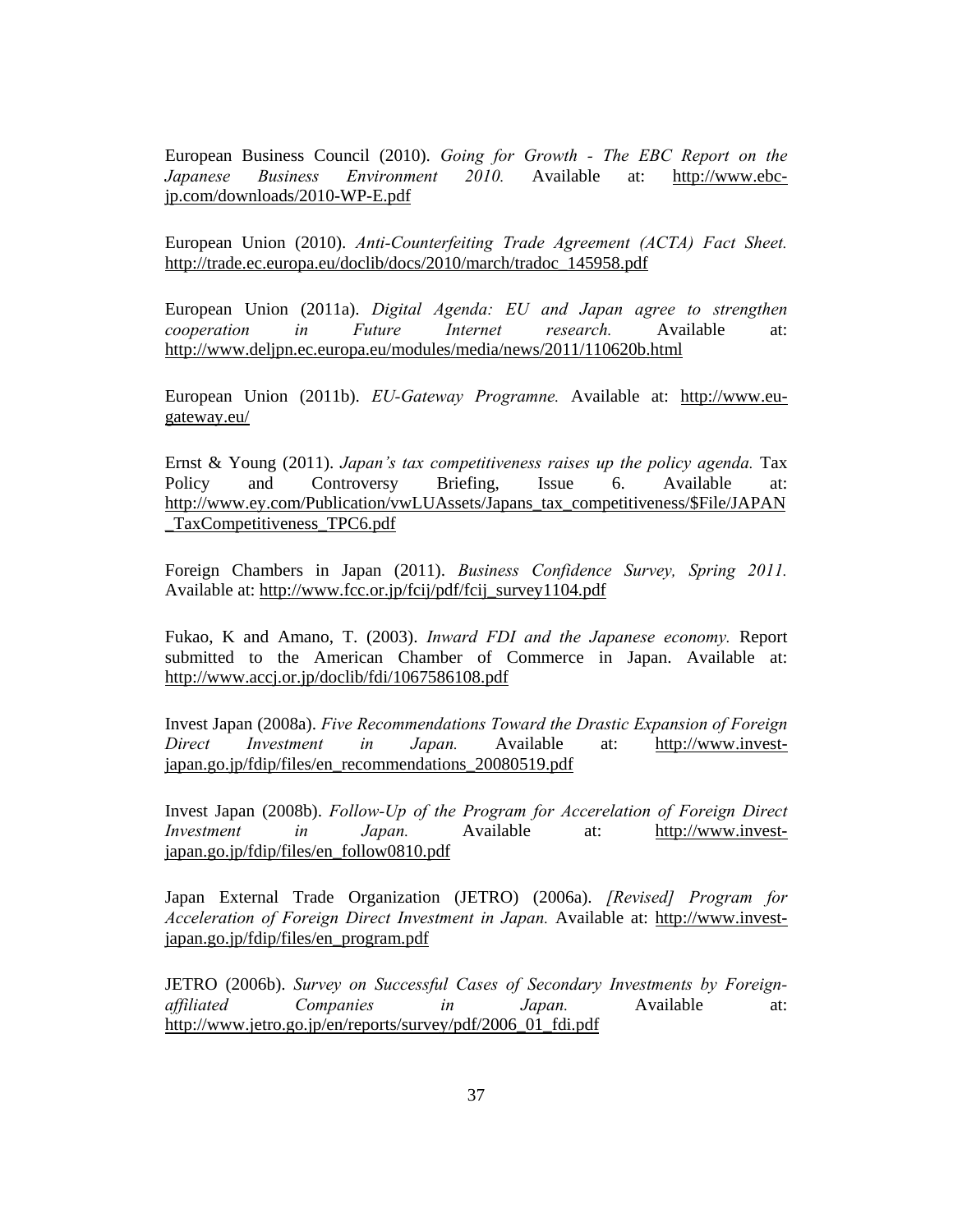European Business Council (2010). *Going for Growth - The EBC Report on the Japanese Business Environment 2010.* Available at: http://www.ebcjp.com/downloads/2010-WP-E.pdf

European Union (2010). *Anti-Counterfeiting Trade Agreement (ACTA) Fact Sheet.* http://trade.ec.europa.eu/doclib/docs/2010/march/tradoc\_145958.pdf

European Union (2011a). *Digital Agenda: EU and Japan agree to strengthen cooperation in Future Internet research.* Available at: http://www.deljpn.ec.europa.eu/modules/media/news/2011/110620b.html

European Union (2011b). *EU-Gateway Programne.* Available at: http://www.eugateway.eu/

Ernst & Young (2011). *Japan's tax competitiveness raises up the policy agenda.* Tax Policy and Controversy Briefing, Issue 6. Available at: http://www.ey.com/Publication/vwLUAssets/Japans\_tax\_competitiveness/\$File/JAPAN \_TaxCompetitiveness\_TPC6.pdf

Foreign Chambers in Japan (2011). *Business Confidence Survey, Spring 2011.* Available at: http://www.fcc.or.jp/fcij/pdf/fcij\_survey1104.pdf

Fukao, K and Amano, T. (2003). *Inward FDI and the Japanese economy.* Report submitted to the American Chamber of Commerce in Japan. Available at: http://www.accj.or.jp/doclib/fdi/1067586108.pdf

Invest Japan (2008a). *Five Recommendations Toward the Drastic Expansion of Foreign Direct Investment in Japan.* Available at: http://www.investjapan.go.jp/fdip/files/en\_recommendations\_20080519.pdf

Invest Japan (2008b). *Follow-Up of the Program for Accerelation of Foreign Direct Investment in Japan.* Available at: http://www.investjapan.go.jp/fdip/files/en\_follow0810.pdf

Japan External Trade Organization (JETRO) (2006a). *[Revised] Program for Acceleration of Foreign Direct Investment in Japan.* Available at: http://www.investjapan.go.jp/fdip/files/en\_program.pdf

JETRO (2006b). *Survey on Successful Cases of Secondary Investments by Foreignaffiliated Companies in Japan.* Available at: http://www.jetro.go.jp/en/reports/survey/pdf/2006\_01\_fdi.pdf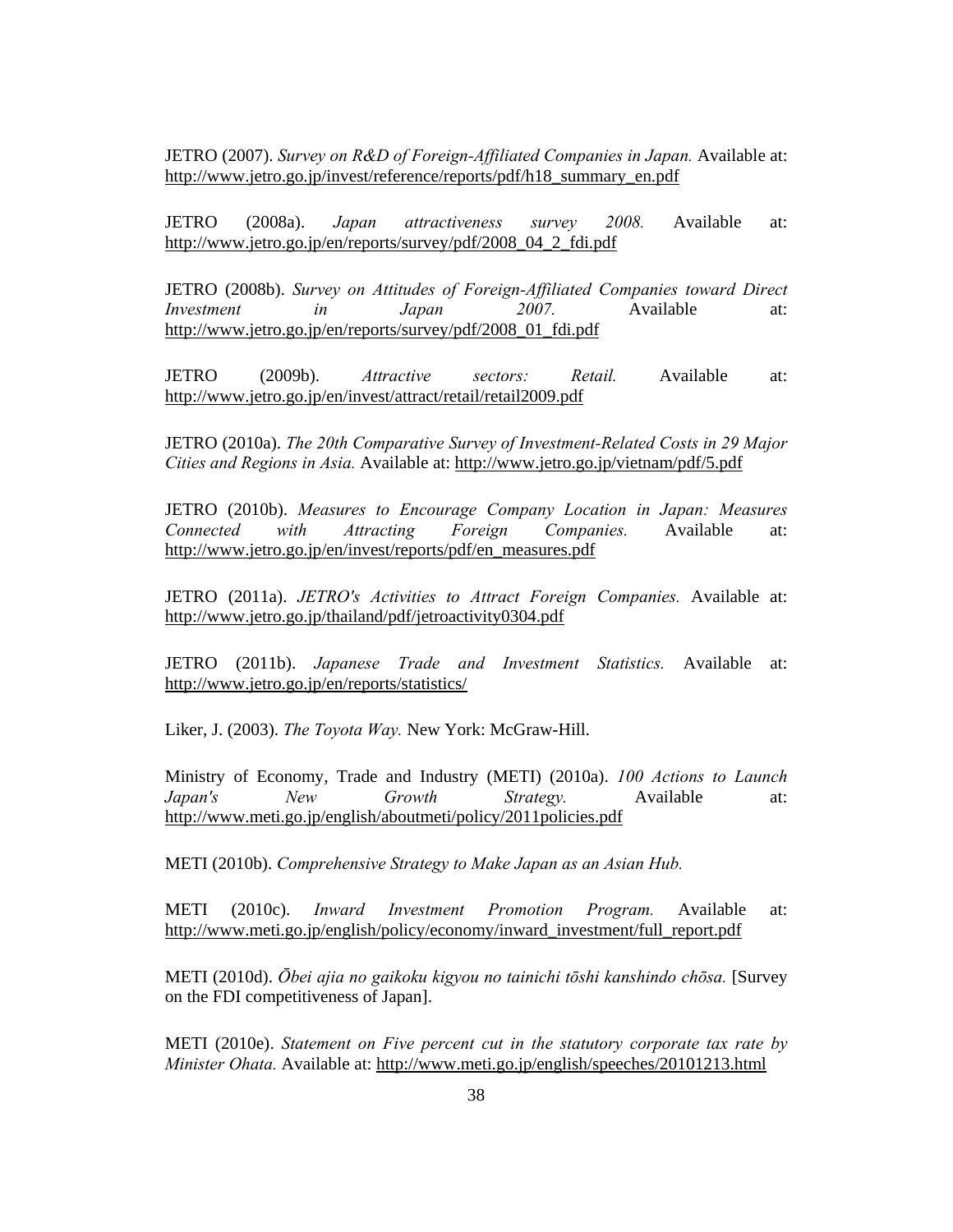JETRO (2007). *Survey on R&D of Foreign-Affiliated Companies in Japan.* Available at: http://www.jetro.go.jp/invest/reference/reports/pdf/h18\_summary\_en.pdf

JETRO (2008a). *Japan attractiveness survey 2008.* Available at: http://www.jetro.go.jp/en/reports/survey/pdf/2008\_04\_2\_fdi.pdf

JETRO (2008b). *Survey on Attitudes of Foreign-Affiliated Companies toward Direct Investment in Japan 2007.* Available at: http://www.jetro.go.jp/en/reports/survey/pdf/2008\_01\_fdi.pdf

JETRO (2009b). *Attractive sectors: Retail.* Available at: http://www.jetro.go.jp/en/invest/attract/retail/retail2009.pdf

JETRO (2010a). *The 20th Comparative Survey of Investment-Related Costs in 29 Major Cities and Regions in Asia.* Available at: http://www.jetro.go.jp/vietnam/pdf/5.pdf

JETRO (2010b). *Measures to Encourage Company Location in Japan: Measures Connected with Attracting Foreign Companies.* Available at: http://www.jetro.go.jp/en/invest/reports/pdf/en\_measures.pdf

JETRO (2011a). *JETRO's Activities to Attract Foreign Companies.* Available at: http://www.jetro.go.jp/thailand/pdf/jetroactivity0304.pdf

JETRO (2011b). *Japanese Trade and Investment Statistics.* Available at: http://www.jetro.go.jp/en/reports/statistics/

Liker, J. (2003). *The Toyota Way.* New York: McGraw-Hill.

Ministry of Economy, Trade and Industry (METI) (2010a). *100 Actions to Launch Japan's New Growth Strategy.* Available at: http://www.meti.go.jp/english/aboutmeti/policy/2011policies.pdf

METI (2010b). *Comprehensive Strategy to Make Japan as an Asian Hub.*

METI (2010c). *Inward Investment Promotion Program.* Available at: http://www.meti.go.jp/english/policy/economy/inward\_investment/full\_report.pdf

METI (2010d). *Ōbei ajia no gaikoku kigyou no tainichi tōshi kanshindo chōsa.* [Survey on the FDI competitiveness of Japan].

METI (2010e). *Statement on Five percent cut in the statutory corporate tax rate by Minister Ohata.* Available at: http://www.meti.go.jp/english/speeches/20101213.html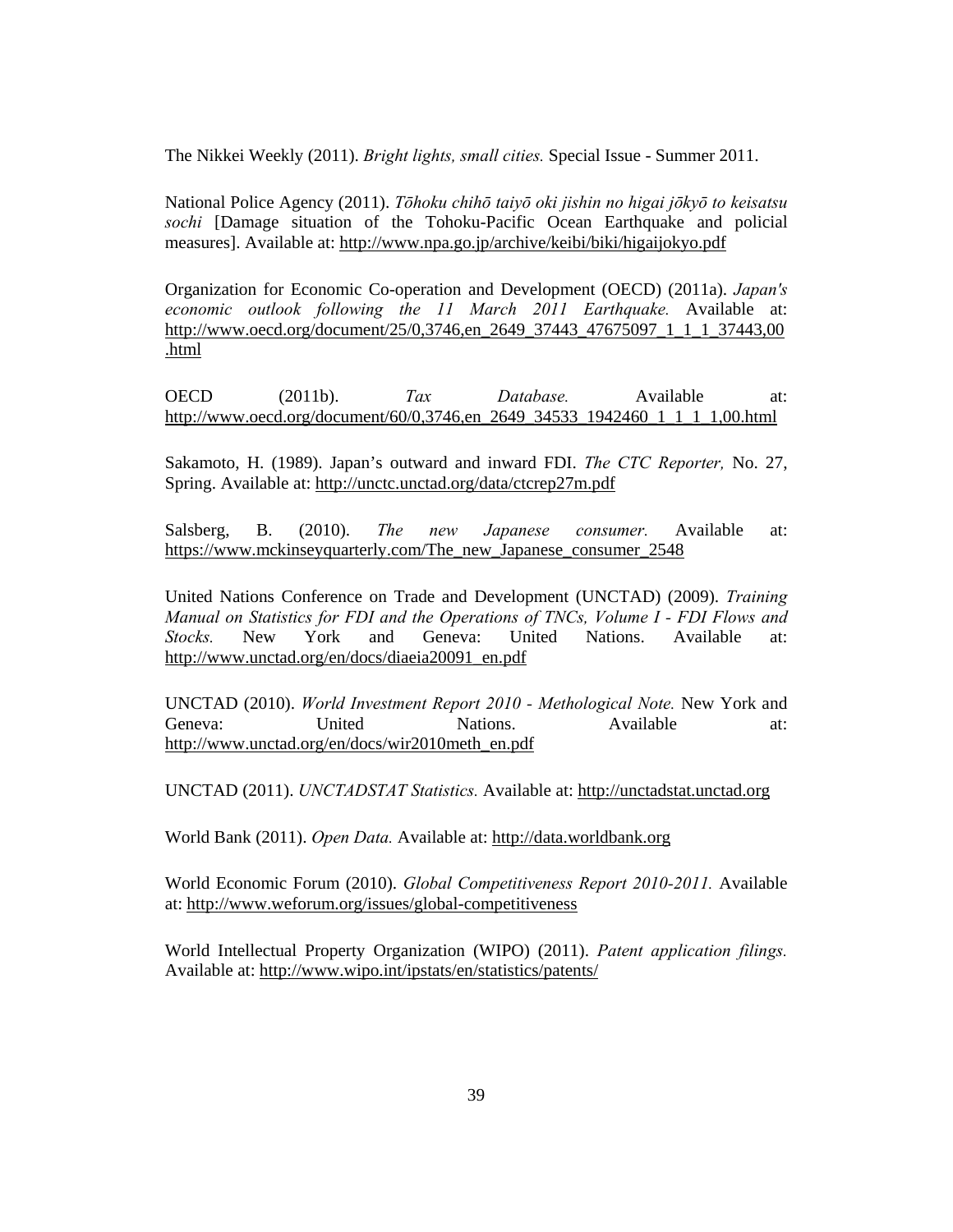The Nikkei Weekly (2011). *Bright lights, small cities.* Special Issue - Summer 2011.

National Police Agency (2011). *Tōhoku chihō taiyō oki jishin no higai jōkyō to keisatsu sochi* [Damage situation of the Tohoku-Pacific Ocean Earthquake and policial measures]. Available at: http://www.npa.go.jp/archive/keibi/biki/higaijokyo.pdf

Organization for Economic Co-operation and Development (OECD) (2011a). *Japan's economic outlook following the 11 March 2011 Earthquake.* Available at: http://www.oecd.org/document/25/0,3746,en\_2649\_37443\_47675097\_1\_1\_1\_37443,00 .html

OECD (2011b). *Tax Database.* Available at: http://www.oecd.org/document/60/0,3746,en\_2649\_34533\_1942460\_1\_1\_1\_1,00.html

Sakamoto, H. (1989). Japan's outward and inward FDI. *The CTC Reporter,* No. 27, Spring. Available at: http://unctc.unctad.org/data/ctcrep27m.pdf

Salsberg, B. (2010). *The new Japanese consumer.* Available at: https://www.mckinseyquarterly.com/The\_new\_Japanese\_consumer\_2548

United Nations Conference on Trade and Development (UNCTAD) (2009). *Training Manual on Statistics for FDI and the Operations of TNCs, Volume I - FDI Flows and Stocks.* New York and Geneva: United Nations. Available at: http://www.unctad.org/en/docs/diaeia20091\_en.pdf

UNCTAD (2010). *World Investment Report 2010 - Methological Note.* New York and Geneva: United Nations. Available at: http://www.unctad.org/en/docs/wir2010meth\_en.pdf

UNCTAD (2011). *UNCTADSTAT Statistics.* Available at: http://unctadstat.unctad.org

World Bank (2011). *Open Data.* Available at: http://data.worldbank.org

World Economic Forum (2010). *Global Competitiveness Report 2010-2011.* Available at: http://www.weforum.org/issues/global-competitiveness

World Intellectual Property Organization (WIPO) (2011). *Patent application filings.* Available at: http://www.wipo.int/ipstats/en/statistics/patents/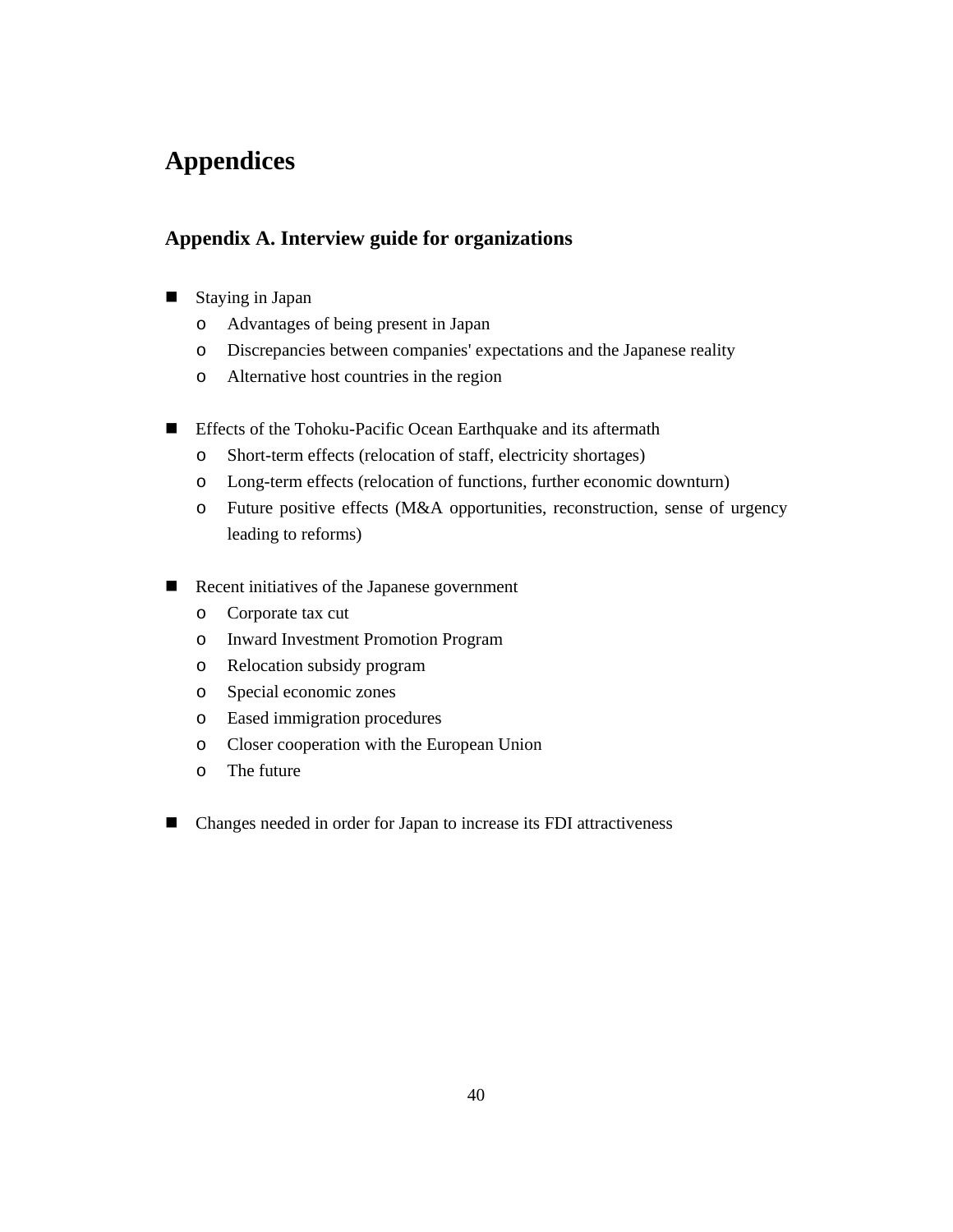# **Appendices**

# **Appendix A. Interview guide for organizations**

- Staying in Japan
	- o Advantages of being present in Japan
	- o Discrepancies between companies' expectations and the Japanese reality
	- o Alternative host countries in the region
- **Effects of the Tohoku-Pacific Ocean Earthquake and its aftermath** 
	- o Short-term effects (relocation of staff, electricity shortages)
	- o Long-term effects (relocation of functions, further economic downturn)
	- o Future positive effects (M&A opportunities, reconstruction, sense of urgency leading to reforms)
- Recent initiatives of the Japanese government
	- o Corporate tax cut
	- o Inward Investment Promotion Program
	- o Relocation subsidy program
	- o Special economic zones
	- o Eased immigration procedures
	- o Closer cooperation with the European Union
	- o The future
- Changes needed in order for Japan to increase its FDI attractiveness